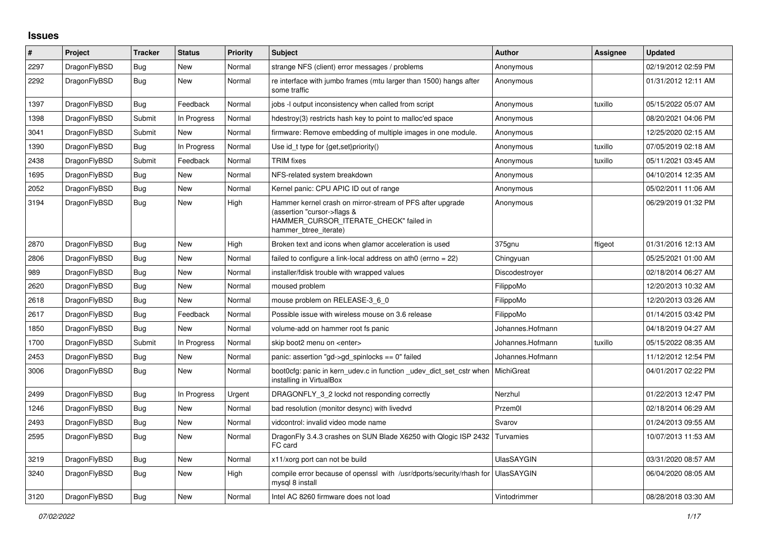## **Issues**

| #    | Project      | <b>Tracker</b> | <b>Status</b> | <b>Priority</b> | <b>Subject</b>                                                                                                                                              | <b>Author</b>     | <b>Assignee</b> | <b>Updated</b>      |
|------|--------------|----------------|---------------|-----------------|-------------------------------------------------------------------------------------------------------------------------------------------------------------|-------------------|-----------------|---------------------|
| 2297 | DragonFlyBSD | Bug            | New           | Normal          | strange NFS (client) error messages / problems                                                                                                              | Anonymous         |                 | 02/19/2012 02:59 PM |
| 2292 | DragonFlyBSD | <b>Bug</b>     | <b>New</b>    | Normal          | re interface with jumbo frames (mtu larger than 1500) hangs after<br>some traffic                                                                           | Anonymous         |                 | 01/31/2012 12:11 AM |
| 1397 | DragonFlyBSD | <b>Bug</b>     | Feedback      | Normal          | jobs -I output inconsistency when called from script                                                                                                        | Anonymous         | tuxillo         | 05/15/2022 05:07 AM |
| 1398 | DragonFlyBSD | Submit         | In Progress   | Normal          | hdestroy(3) restricts hash key to point to malloc'ed space                                                                                                  | Anonymous         |                 | 08/20/2021 04:06 PM |
| 3041 | DragonFlyBSD | Submit         | New           | Normal          | firmware: Remove embedding of multiple images in one module.                                                                                                | Anonymous         |                 | 12/25/2020 02:15 AM |
| 1390 | DragonFlyBSD | <b>Bug</b>     | In Progress   | Normal          | Use id_t type for {get,set}priority()                                                                                                                       | Anonymous         | tuxillo         | 07/05/2019 02:18 AM |
| 2438 | DragonFlyBSD | Submit         | Feedback      | Normal          | <b>TRIM</b> fixes                                                                                                                                           | Anonymous         | tuxillo         | 05/11/2021 03:45 AM |
| 1695 | DragonFlyBSD | Bug            | New           | Normal          | NFS-related system breakdown                                                                                                                                | Anonymous         |                 | 04/10/2014 12:35 AM |
| 2052 | DragonFlyBSD | Bug            | New           | Normal          | Kernel panic: CPU APIC ID out of range                                                                                                                      | Anonymous         |                 | 05/02/2011 11:06 AM |
| 3194 | DragonFlyBSD | Bug            | New           | High            | Hammer kernel crash on mirror-stream of PFS after upgrade<br>(assertion "cursor->flags &<br>HAMMER CURSOR ITERATE CHECK" failed in<br>hammer btree iterate) | Anonymous         |                 | 06/29/2019 01:32 PM |
| 2870 | DragonFlyBSD | <b>Bug</b>     | New           | High            | Broken text and icons when glamor acceleration is used                                                                                                      | 375gnu            | ftigeot         | 01/31/2016 12:13 AM |
| 2806 | DragonFlyBSD | Bug            | New           | Normal          | failed to configure a link-local address on ath0 (errno $= 22$ )                                                                                            | Chingyuan         |                 | 05/25/2021 01:00 AM |
| 989  | DragonFlyBSD | Bug            | New           | Normal          | installer/fdisk trouble with wrapped values                                                                                                                 | Discodestroyer    |                 | 02/18/2014 06:27 AM |
| 2620 | DragonFlyBSD | Bug            | New           | Normal          | moused problem                                                                                                                                              | FilippoMo         |                 | 12/20/2013 10:32 AM |
| 2618 | DragonFlyBSD | Bug            | New           | Normal          | mouse problem on RELEASE-3 6 0                                                                                                                              | FilippoMo         |                 | 12/20/2013 03:26 AM |
| 2617 | DragonFlyBSD | Bug            | Feedback      | Normal          | Possible issue with wireless mouse on 3.6 release                                                                                                           | FilippoMo         |                 | 01/14/2015 03:42 PM |
| 1850 | DragonFlyBSD | <b>Bug</b>     | New           | Normal          | volume-add on hammer root fs panic                                                                                                                          | Johannes.Hofmann  |                 | 04/18/2019 04:27 AM |
| 1700 | DragonFlyBSD | Submit         | In Progress   | Normal          | skip boot2 menu on <enter></enter>                                                                                                                          | Johannes.Hofmann  | tuxillo         | 05/15/2022 08:35 AM |
| 2453 | DragonFlyBSD | <b>Bug</b>     | New           | Normal          | panic: assertion "gd->gd_spinlocks == 0" failed                                                                                                             | Johannes.Hofmann  |                 | 11/12/2012 12:54 PM |
| 3006 | DragonFlyBSD | <b>Bug</b>     | <b>New</b>    | Normal          | boot0cfg: panic in kern_udev.c in function _udev_dict_set_cstr when<br>installing in VirtualBox                                                             | MichiGreat        |                 | 04/01/2017 02:22 PM |
| 2499 | DragonFlyBSD | <b>Bug</b>     | In Progress   | Urgent          | DRAGONFLY_3_2 lockd not responding correctly                                                                                                                | Nerzhul           |                 | 01/22/2013 12:47 PM |
| 1246 | DragonFlyBSD | Bug            | New           | Normal          | bad resolution (monitor desync) with livedvd                                                                                                                | Przem0l           |                 | 02/18/2014 06:29 AM |
| 2493 | DragonFlyBSD | Bug            | New           | Normal          | vidcontrol: invalid video mode name                                                                                                                         | Svarov            |                 | 01/24/2013 09:55 AM |
| 2595 | DragonFlyBSD | Bug            | New           | Normal          | DragonFly 3.4.3 crashes on SUN Blade X6250 with Qlogic ISP 2432<br>FC card                                                                                  | Turvamies         |                 | 10/07/2013 11:53 AM |
| 3219 | DragonFlyBSD | Bug            | New           | Normal          | x11/xorg port can not be build                                                                                                                              | <b>UlasSAYGIN</b> |                 | 03/31/2020 08:57 AM |
| 3240 | DragonFlyBSD | <b>Bug</b>     | New           | High            | compile error because of openssl with /usr/dports/security/rhash for<br>mysql 8 install                                                                     | <b>UlasSAYGIN</b> |                 | 06/04/2020 08:05 AM |
| 3120 | DragonFlyBSD | <b>Bug</b>     | <b>New</b>    | Normal          | Intel AC 8260 firmware does not load                                                                                                                        | Vintodrimmer      |                 | 08/28/2018 03:30 AM |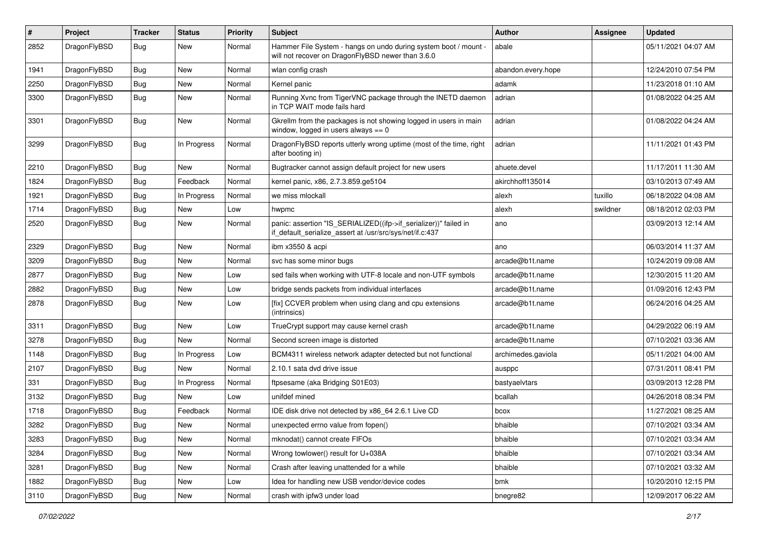| $\pmb{\#}$ | Project      | <b>Tracker</b> | <b>Status</b> | <b>Priority</b> | Subject                                                                                                                      | <b>Author</b>      | <b>Assignee</b> | <b>Updated</b>      |
|------------|--------------|----------------|---------------|-----------------|------------------------------------------------------------------------------------------------------------------------------|--------------------|-----------------|---------------------|
| 2852       | DragonFlyBSD | Bug            | New           | Normal          | Hammer File System - hangs on undo during system boot / mount -<br>will not recover on DragonFlyBSD newer than 3.6.0         | abale              |                 | 05/11/2021 04:07 AM |
| 1941       | DragonFlyBSD | <b>Bug</b>     | <b>New</b>    | Normal          | wlan config crash                                                                                                            | abandon.every.hope |                 | 12/24/2010 07:54 PM |
| 2250       | DragonFlyBSD | Bug            | <b>New</b>    | Normal          | Kernel panic                                                                                                                 | adamk              |                 | 11/23/2018 01:10 AM |
| 3300       | DragonFlyBSD | Bug            | New           | Normal          | Running Xvnc from TigerVNC package through the INETD daemon<br>in TCP WAIT mode fails hard                                   | adrian             |                 | 01/08/2022 04:25 AM |
| 3301       | DragonFlyBSD | Bug            | New           | Normal          | Gkrellm from the packages is not showing logged in users in main<br>window, logged in users always $== 0$                    | adrian             |                 | 01/08/2022 04:24 AM |
| 3299       | DragonFlyBSD | Bug            | In Progress   | Normal          | DragonFlyBSD reports utterly wrong uptime (most of the time, right<br>after booting in)                                      | adrian             |                 | 11/11/2021 01:43 PM |
| 2210       | DragonFlyBSD | <b>Bug</b>     | New           | Normal          | Bugtracker cannot assign default project for new users                                                                       | ahuete.devel       |                 | 11/17/2011 11:30 AM |
| 1824       | DragonFlyBSD | Bug            | Feedback      | Normal          | kernel panic, x86, 2.7.3.859.ge5104                                                                                          | akirchhoff135014   |                 | 03/10/2013 07:49 AM |
| 1921       | DragonFlyBSD | Bug            | In Progress   | Normal          | we miss mlockall                                                                                                             | alexh              | tuxillo         | 06/18/2022 04:08 AM |
| 1714       | DragonFlyBSD | Bug            | New           | Low             | hwpmc                                                                                                                        | alexh              | swildner        | 08/18/2012 02:03 PM |
| 2520       | DragonFlyBSD | Bug            | New           | Normal          | panic: assertion "IS_SERIALIZED((ifp->if_serializer))" failed in<br>if_default_serialize_assert at /usr/src/sys/net/if.c:437 | ano                |                 | 03/09/2013 12:14 AM |
| 2329       | DragonFlyBSD | Bug            | <b>New</b>    | Normal          | ibm x3550 & acpi                                                                                                             | ano                |                 | 06/03/2014 11:37 AM |
| 3209       | DragonFlyBSD | <b>Bug</b>     | New           | Normal          | svc has some minor bugs                                                                                                      | arcade@b1t.name    |                 | 10/24/2019 09:08 AM |
| 2877       | DragonFlyBSD | Bug            | New           | Low             | sed fails when working with UTF-8 locale and non-UTF symbols                                                                 | arcade@b1t.name    |                 | 12/30/2015 11:20 AM |
| 2882       | DragonFlyBSD | Bug            | <b>New</b>    | Low             | bridge sends packets from individual interfaces                                                                              | arcade@b1t.name    |                 | 01/09/2016 12:43 PM |
| 2878       | DragonFlyBSD | Bug            | New           | Low             | [fix] CCVER problem when using clang and cpu extensions<br>(intrinsics)                                                      | arcade@b1t.name    |                 | 06/24/2016 04:25 AM |
| 3311       | DragonFlyBSD | Bug            | <b>New</b>    | Low             | TrueCrypt support may cause kernel crash                                                                                     | arcade@b1t.name    |                 | 04/29/2022 06:19 AM |
| 3278       | DragonFlyBSD | Bug            | New           | Normal          | Second screen image is distorted                                                                                             | arcade@b1t.name    |                 | 07/10/2021 03:36 AM |
| 1148       | DragonFlyBSD | Bug            | In Progress   | Low             | BCM4311 wireless network adapter detected but not functional                                                                 | archimedes.gaviola |                 | 05/11/2021 04:00 AM |
| 2107       | DragonFlyBSD | Bug            | New           | Normal          | 2.10.1 sata dvd drive issue                                                                                                  | ausppc             |                 | 07/31/2011 08:41 PM |
| 331        | DragonFlyBSD | <b>Bug</b>     | In Progress   | Normal          | ftpsesame (aka Bridging S01E03)                                                                                              | bastyaelvtars      |                 | 03/09/2013 12:28 PM |
| 3132       | DragonFlyBSD | Bug            | New           | Low             | unifdef mined                                                                                                                | bcallah            |                 | 04/26/2018 08:34 PM |
| 1718       | DragonFlyBSD | <b>Bug</b>     | Feedback      | Normal          | IDE disk drive not detected by x86_64 2.6.1 Live CD                                                                          | bcox               |                 | 11/27/2021 08:25 AM |
| 3282       | DragonFlyBSD | Bug            | New           | Normal          | unexpected errno value from fopen()                                                                                          | bhaible            |                 | 07/10/2021 03:34 AM |
| 3283       | DragonFlyBSD | Bug            | New           | Normal          | mknodat() cannot create FIFOs                                                                                                | bhaible            |                 | 07/10/2021 03:34 AM |
| 3284       | DragonFlyBSD | <b>Bug</b>     | New           | Normal          | Wrong towlower() result for U+038A                                                                                           | bhaible            |                 | 07/10/2021 03:34 AM |
| 3281       | DragonFlyBSD | <b>Bug</b>     | New           | Normal          | Crash after leaving unattended for a while                                                                                   | bhaible            |                 | 07/10/2021 03:32 AM |
| 1882       | DragonFlyBSD | Bug            | New           | Low             | Idea for handling new USB vendor/device codes                                                                                | bmk                |                 | 10/20/2010 12:15 PM |
| 3110       | DragonFlyBSD | Bug            | New           | Normal          | crash with ipfw3 under load                                                                                                  | bnegre82           |                 | 12/09/2017 06:22 AM |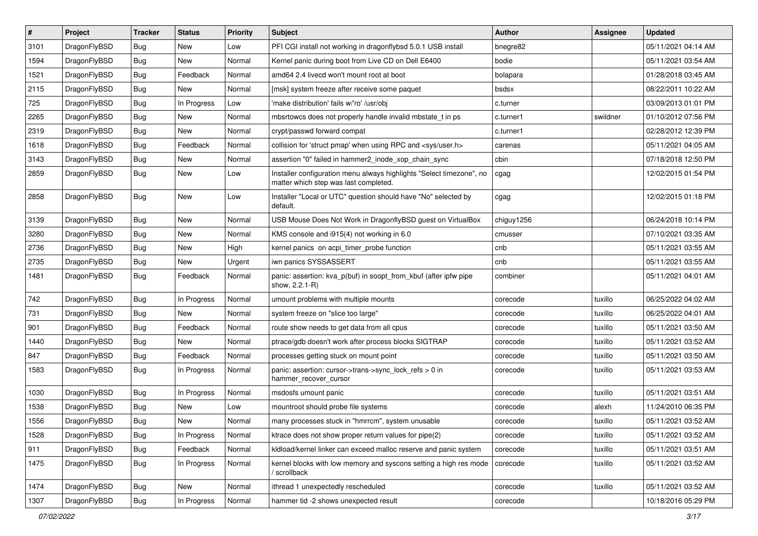| $\sharp$ | Project      | <b>Tracker</b> | <b>Status</b> | <b>Priority</b> | <b>Subject</b>                                                                                                | <b>Author</b> | <b>Assignee</b> | <b>Updated</b>      |
|----------|--------------|----------------|---------------|-----------------|---------------------------------------------------------------------------------------------------------------|---------------|-----------------|---------------------|
| 3101     | DragonFlyBSD | Bug            | New           | Low             | PFI CGI install not working in dragonflybsd 5.0.1 USB install                                                 | bnegre82      |                 | 05/11/2021 04:14 AM |
| 1594     | DragonFlyBSD | Bug            | <b>New</b>    | Normal          | Kernel panic during boot from Live CD on Dell E6400                                                           | bodie         |                 | 05/11/2021 03:54 AM |
| 1521     | DragonFlyBSD | <b>Bug</b>     | Feedback      | Normal          | amd64 2.4 livecd won't mount root at boot                                                                     | bolapara      |                 | 01/28/2018 03:45 AM |
| 2115     | DragonFlyBSD | <b>Bug</b>     | New           | Normal          | [msk] system freeze after receive some paquet                                                                 | bsdsx         |                 | 08/22/2011 10:22 AM |
| 725      | DragonFlyBSD | Bug            | In Progress   | Low             | 'make distribution' fails w/'ro' /usr/obj                                                                     | c.turner      |                 | 03/09/2013 01:01 PM |
| 2265     | DragonFlyBSD | <b>Bug</b>     | New           | Normal          | mbsrtowcs does not properly handle invalid mbstate t in ps                                                    | c.turner1     | swildner        | 01/10/2012 07:56 PM |
| 2319     | DragonFlyBSD | <b>Bug</b>     | New           | Normal          | crypt/passwd forward compat                                                                                   | c.turner1     |                 | 02/28/2012 12:39 PM |
| 1618     | DragonFlyBSD | <b>Bug</b>     | Feedback      | Normal          | collision for 'struct pmap' when using RPC and <sys user.h=""></sys>                                          | carenas       |                 | 05/11/2021 04:05 AM |
| 3143     | DragonFlyBSD | <b>Bug</b>     | <b>New</b>    | Normal          | assertion "0" failed in hammer2 inode xop chain sync                                                          | cbin          |                 | 07/18/2018 12:50 PM |
| 2859     | DragonFlyBSD | Bug            | New           | Low             | Installer configuration menu always highlights "Select timezone", no<br>matter which step was last completed. | cgag          |                 | 12/02/2015 01:54 PM |
| 2858     | DragonFlyBSD | Bug            | New           | Low             | Installer "Local or UTC" question should have "No" selected by<br>default.                                    | cgag          |                 | 12/02/2015 01:18 PM |
| 3139     | DragonFlyBSD | Bug            | New           | Normal          | USB Mouse Does Not Work in DragonflyBSD guest on VirtualBox                                                   | chiguy1256    |                 | 06/24/2018 10:14 PM |
| 3280     | DragonFlyBSD | <b>Bug</b>     | New           | Normal          | KMS console and i915(4) not working in 6.0                                                                    | cmusser       |                 | 07/10/2021 03:35 AM |
| 2736     | DragonFlyBSD | <b>Bug</b>     | New           | High            | kernel panics on acpi_timer_probe function                                                                    | cnb           |                 | 05/11/2021 03:55 AM |
| 2735     | DragonFlyBSD | <b>Bug</b>     | New           | Urgent          | iwn panics SYSSASSERT                                                                                         | cnb           |                 | 05/11/2021 03:55 AM |
| 1481     | DragonFlyBSD | Bug            | Feedback      | Normal          | panic: assertion: kva_p(buf) in soopt_from_kbuf (after ipfw pipe<br>show, 2.2.1-R)                            | combiner      |                 | 05/11/2021 04:01 AM |
| 742      | DragonFlyBSD | Bug            | In Progress   | Normal          | umount problems with multiple mounts                                                                          | corecode      | tuxillo         | 06/25/2022 04:02 AM |
| 731      | DragonFlyBSD | <b>Bug</b>     | New           | Normal          | system freeze on "slice too large"                                                                            | corecode      | tuxillo         | 06/25/2022 04:01 AM |
| 901      | DragonFlyBSD | <b>Bug</b>     | Feedback      | Normal          | route show needs to get data from all cpus                                                                    | corecode      | tuxillo         | 05/11/2021 03:50 AM |
| 1440     | DragonFlyBSD | <b>Bug</b>     | New           | Normal          | ptrace/gdb doesn't work after process blocks SIGTRAP                                                          | corecode      | tuxillo         | 05/11/2021 03:52 AM |
| 847      | DragonFlyBSD | <b>Bug</b>     | Feedback      | Normal          | processes getting stuck on mount point                                                                        | corecode      | tuxillo         | 05/11/2021 03:50 AM |
| 1583     | DragonFlyBSD | <b>Bug</b>     | In Progress   | Normal          | panic: assertion: cursor->trans->sync_lock_refs > 0 in<br>hammer_recover_cursor                               | corecode      | tuxillo         | 05/11/2021 03:53 AM |
| 1030     | DragonFlyBSD | <b>Bug</b>     | In Progress   | Normal          | msdosfs umount panic                                                                                          | corecode      | tuxillo         | 05/11/2021 03:51 AM |
| 1538     | DragonFlyBSD | <b>Bug</b>     | <b>New</b>    | Low             | mountroot should probe file systems                                                                           | corecode      | alexh           | 11/24/2010 06:35 PM |
| 1556     | DragonFlyBSD | <b>Bug</b>     | New           | Normal          | many processes stuck in "hmrrcm", system unusable                                                             | corecode      | tuxillo         | 05/11/2021 03:52 AM |
| 1528     | DragonFlyBSD | <b>Bug</b>     | In Progress   | Normal          | ktrace does not show proper return values for pipe(2)                                                         | corecode      | tuxillo         | 05/11/2021 03:52 AM |
| 911      | DragonFlyBSD | <b>Bug</b>     | Feedback      | Normal          | kldload/kernel linker can exceed malloc reserve and panic system                                              | corecode      | tuxillo         | 05/11/2021 03:51 AM |
| 1475     | DragonFlyBSD | <b>Bug</b>     | In Progress   | Normal          | kernel blocks with low memory and syscons setting a high res mode<br>/ scrollback                             | corecode      | tuxillo         | 05/11/2021 03:52 AM |
| 1474     | DragonFlyBSD | <b>Bug</b>     | New           | Normal          | ithread 1 unexpectedly rescheduled                                                                            | corecode      | tuxillo         | 05/11/2021 03:52 AM |
| 1307     | DragonFlyBSD | <b>Bug</b>     | In Progress   | Normal          | hammer tid -2 shows unexpected result                                                                         | corecode      |                 | 10/18/2016 05:29 PM |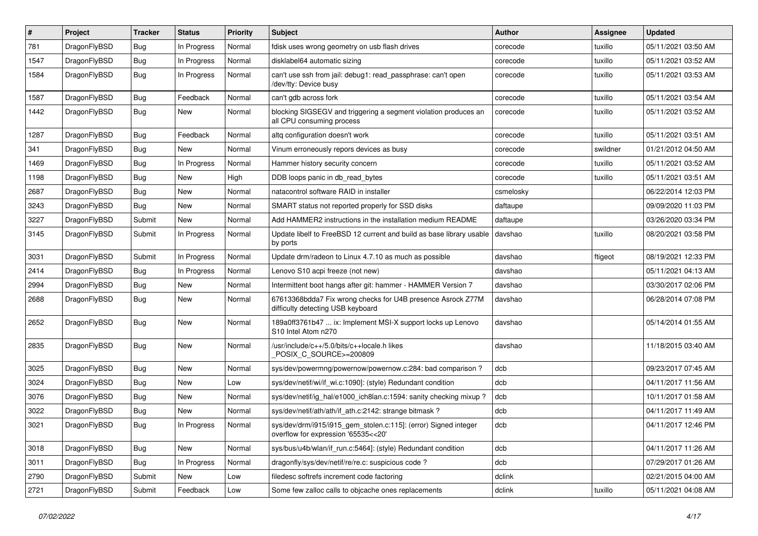| #    | Project      | <b>Tracker</b> | <b>Status</b> | <b>Priority</b> | Subject                                                                                                | <b>Author</b> | Assignee | <b>Updated</b>      |
|------|--------------|----------------|---------------|-----------------|--------------------------------------------------------------------------------------------------------|---------------|----------|---------------------|
| 781  | DragonFlyBSD | Bug            | In Progress   | Normal          | fdisk uses wrong geometry on usb flash drives                                                          | corecode      | tuxillo  | 05/11/2021 03:50 AM |
| 1547 | DragonFlyBSD | Bug            | In Progress   | Normal          | disklabel64 automatic sizing                                                                           | corecode      | tuxillo  | 05/11/2021 03:52 AM |
| 1584 | DragonFlyBSD | <b>Bug</b>     | In Progress   | Normal          | can't use ssh from jail: debug1: read_passphrase: can't open<br>/dev/tty: Device busy                  | corecode      | tuxillo  | 05/11/2021 03:53 AM |
| 1587 | DragonFlyBSD | Bug            | Feedback      | Normal          | can't gdb across fork                                                                                  | corecode      | tuxillo  | 05/11/2021 03:54 AM |
| 1442 | DragonFlyBSD | <b>Bug</b>     | New           | Normal          | blocking SIGSEGV and triggering a segment violation produces an<br>all CPU consuming process           | corecode      | tuxillo  | 05/11/2021 03:52 AM |
| 1287 | DragonFlyBSD | <b>Bug</b>     | Feedback      | Normal          | altq configuration doesn't work                                                                        | corecode      | tuxillo  | 05/11/2021 03:51 AM |
| 341  | DragonFlyBSD | <b>Bug</b>     | <b>New</b>    | Normal          | Vinum erroneously repors devices as busy                                                               | corecode      | swildner | 01/21/2012 04:50 AM |
| 1469 | DragonFlyBSD | <b>Bug</b>     | In Progress   | Normal          | Hammer history security concern                                                                        | corecode      | tuxillo  | 05/11/2021 03:52 AM |
| 1198 | DragonFlyBSD | <b>Bug</b>     | New           | High            | DDB loops panic in db read bytes                                                                       | corecode      | tuxillo  | 05/11/2021 03:51 AM |
| 2687 | DragonFlyBSD | <b>Bug</b>     | New           | Normal          | natacontrol software RAID in installer                                                                 | csmelosky     |          | 06/22/2014 12:03 PM |
| 3243 | DragonFlyBSD | <b>Bug</b>     | New           | Normal          | SMART status not reported properly for SSD disks                                                       | daftaupe      |          | 09/09/2020 11:03 PM |
| 3227 | DragonFlyBSD | Submit         | New           | Normal          | Add HAMMER2 instructions in the installation medium README                                             | daftaupe      |          | 03/26/2020 03:34 PM |
| 3145 | DragonFlyBSD | Submit         | In Progress   | Normal          | Update libelf to FreeBSD 12 current and build as base library usable<br>by ports                       | davshao       | tuxillo  | 08/20/2021 03:58 PM |
| 3031 | DragonFlyBSD | Submit         | In Progress   | Normal          | Update drm/radeon to Linux 4.7.10 as much as possible                                                  | davshao       | ftigeot  | 08/19/2021 12:33 PM |
| 2414 | DragonFlyBSD | <b>Bug</b>     | In Progress   | Normal          | Lenovo S10 acpi freeze (not new)                                                                       | davshao       |          | 05/11/2021 04:13 AM |
| 2994 | DragonFlyBSD | <b>Bug</b>     | <b>New</b>    | Normal          | Intermittent boot hangs after git: hammer - HAMMER Version 7                                           | davshao       |          | 03/30/2017 02:06 PM |
| 2688 | DragonFlyBSD | <b>Bug</b>     | New           | Normal          | 67613368bdda7 Fix wrong checks for U4B presence Asrock Z77M<br>difficulty detecting USB keyboard       | davshao       |          | 06/28/2014 07:08 PM |
| 2652 | DragonFlyBSD | <b>Bug</b>     | New           | Normal          | 189a0ff3761b47  ix: Implement MSI-X support locks up Lenovo<br>S10 Intel Atom n270                     | davshao       |          | 05/14/2014 01:55 AM |
| 2835 | DragonFlyBSD | <b>Bug</b>     | New           | Normal          | /usr/include/c++/5.0/bits/c++locale.h likes<br>POSIX_C_SOURCE>=200809                                  | davshao       |          | 11/18/2015 03:40 AM |
| 3025 | DragonFlyBSD | <b>Bug</b>     | New           | Normal          | sys/dev/powermng/powernow/powernow.c:284: bad comparison ?                                             | dcb           |          | 09/23/2017 07:45 AM |
| 3024 | DragonFlyBSD | <b>Bug</b>     | New           | Low             | sys/dev/netif/wi/if wi.c:1090]: (style) Redundant condition                                            | dcb           |          | 04/11/2017 11:56 AM |
| 3076 | DragonFlyBSD | <b>Bug</b>     | New           | Normal          | sys/dev/netif/ig_hal/e1000_ich8lan.c:1594: sanity checking mixup?                                      | dcb           |          | 10/11/2017 01:58 AM |
| 3022 | DragonFlyBSD | Bug            | New           | Normal          | sys/dev/netif/ath/ath/if_ath.c:2142: strange bitmask?                                                  | dcb           |          | 04/11/2017 11:49 AM |
| 3021 | DragonFlyBSD | Bug            | In Progress   | Normal          | sys/dev/drm/i915/i915 gem stolen.c:115]: (error) Signed integer<br>overflow for expression '65535<<20' | dcb           |          | 04/11/2017 12:46 PM |
| 3018 | DragonFlyBSD | <b>Bug</b>     | New           | Normal          | sys/bus/u4b/wlan/if_run.c:5464]: (style) Redundant condition                                           | dcb           |          | 04/11/2017 11:26 AM |
| 3011 | DragonFlyBSD | <b>Bug</b>     | In Progress   | Normal          | dragonfly/sys/dev/netif/re/re.c: suspicious code ?                                                     | dcb           |          | 07/29/2017 01:26 AM |
| 2790 | DragonFlyBSD | Submit         | New           | Low             | filedesc softrefs increment code factoring                                                             | dclink        |          | 02/21/2015 04:00 AM |
| 2721 | DragonFlyBSD | Submit         | Feedback      | Low             | Some few zalloc calls to objcache ones replacements                                                    | dclink        | tuxillo  | 05/11/2021 04:08 AM |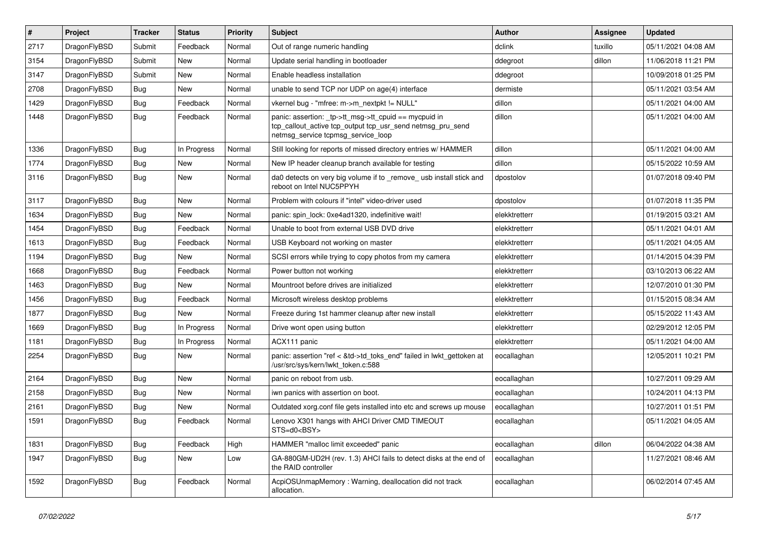| $\vert$ # | Project      | <b>Tracker</b> | <b>Status</b> | <b>Priority</b> | <b>Subject</b>                                                                                                                                            | <b>Author</b> | Assignee | <b>Updated</b>      |
|-----------|--------------|----------------|---------------|-----------------|-----------------------------------------------------------------------------------------------------------------------------------------------------------|---------------|----------|---------------------|
| 2717      | DragonFlyBSD | Submit         | Feedback      | Normal          | Out of range numeric handling                                                                                                                             | dclink        | tuxillo  | 05/11/2021 04:08 AM |
| 3154      | DragonFlyBSD | Submit         | <b>New</b>    | Normal          | Update serial handling in bootloader                                                                                                                      | ddegroot      | dillon   | 11/06/2018 11:21 PM |
| 3147      | DragonFlyBSD | Submit         | <b>New</b>    | Normal          | Enable headless installation                                                                                                                              | ddegroot      |          | 10/09/2018 01:25 PM |
| 2708      | DragonFlyBSD | Bug            | <b>New</b>    | Normal          | unable to send TCP nor UDP on age(4) interface                                                                                                            | dermiste      |          | 05/11/2021 03:54 AM |
| 1429      | DragonFlyBSD | <b>Bug</b>     | Feedback      | Normal          | vkernel bug - "mfree: m->m_nextpkt != NULL"                                                                                                               | dillon        |          | 05/11/2021 04:00 AM |
| 1448      | DragonFlyBSD | Bug            | Feedback      | Normal          | panic: assertion: _tp->tt_msg->tt_cpuid == mycpuid in<br>tcp_callout_active tcp_output tcp_usr_send netmsg_pru_send<br>netmsg service tcpmsg service loop | dillon        |          | 05/11/2021 04:00 AM |
| 1336      | DragonFlyBSD | Bug            | In Progress   | Normal          | Still looking for reports of missed directory entries w/ HAMMER                                                                                           | dillon        |          | 05/11/2021 04:00 AM |
| 1774      | DragonFlyBSD | Bug            | <b>New</b>    | Normal          | New IP header cleanup branch available for testing                                                                                                        | dillon        |          | 05/15/2022 10:59 AM |
| 3116      | DragonFlyBSD | Bug            | <b>New</b>    | Normal          | da0 detects on very big volume if to _remove_ usb install stick and<br>reboot on Intel NUC5PPYH                                                           | dpostolov     |          | 01/07/2018 09:40 PM |
| 3117      | DragonFlyBSD | Bug            | <b>New</b>    | Normal          | Problem with colours if "intel" video-driver used                                                                                                         | dpostolov     |          | 01/07/2018 11:35 PM |
| 1634      | DragonFlyBSD | <b>Bug</b>     | New           | Normal          | panic: spin lock: 0xe4ad1320, indefinitive wait!                                                                                                          | elekktretterr |          | 01/19/2015 03:21 AM |
| 1454      | DragonFlyBSD | Bug            | Feedback      | Normal          | Unable to boot from external USB DVD drive                                                                                                                | elekktretterr |          | 05/11/2021 04:01 AM |
| 1613      | DragonFlyBSD | Bug            | Feedback      | Normal          | USB Keyboard not working on master                                                                                                                        | elekktretterr |          | 05/11/2021 04:05 AM |
| 1194      | DragonFlyBSD | <b>Bug</b>     | <b>New</b>    | Normal          | SCSI errors while trying to copy photos from my camera                                                                                                    | elekktretterr |          | 01/14/2015 04:39 PM |
| 1668      | DragonFlyBSD | <b>Bug</b>     | Feedback      | Normal          | Power button not working                                                                                                                                  | elekktretterr |          | 03/10/2013 06:22 AM |
| 1463      | DragonFlyBSD | <b>Bug</b>     | <b>New</b>    | Normal          | Mountroot before drives are initialized                                                                                                                   | elekktretterr |          | 12/07/2010 01:30 PM |
| 1456      | DragonFlyBSD | Bug            | Feedback      | Normal          | Microsoft wireless desktop problems                                                                                                                       | elekktretterr |          | 01/15/2015 08:34 AM |
| 1877      | DragonFlyBSD | <b>Bug</b>     | <b>New</b>    | Normal          | Freeze during 1st hammer cleanup after new install                                                                                                        | elekktretterr |          | 05/15/2022 11:43 AM |
| 1669      | DragonFlyBSD | <b>Bug</b>     | In Progress   | Normal          | Drive wont open using button                                                                                                                              | elekktretterr |          | 02/29/2012 12:05 PM |
| 1181      | DragonFlyBSD | Bug            | In Progress   | Normal          | ACX111 panic                                                                                                                                              | elekktretterr |          | 05/11/2021 04:00 AM |
| 2254      | DragonFlyBSD | <b>Bug</b>     | New           | Normal          | panic: assertion "ref < &td->td_toks_end" failed in lwkt_gettoken at<br>/usr/src/sys/kern/lwkt_token.c:588                                                | eocallaghan   |          | 12/05/2011 10:21 PM |
| 2164      | DragonFlyBSD | <b>Bug</b>     | <b>New</b>    | Normal          | panic on reboot from usb.                                                                                                                                 | eocallaghan   |          | 10/27/2011 09:29 AM |
| 2158      | DragonFlyBSD | <b>Bug</b>     | <b>New</b>    | Normal          | iwn panics with assertion on boot.                                                                                                                        | eocallaghan   |          | 10/24/2011 04:13 PM |
| 2161      | DragonFlyBSD | Bug            | <b>New</b>    | Normal          | Outdated xorg.conf file gets installed into etc and screws up mouse                                                                                       | eocallaghan   |          | 10/27/2011 01:51 PM |
| 1591      | DragonFlyBSD | <b>Bug</b>     | Feedback      | Normal          | Lenovo X301 hangs with AHCI Driver CMD TIMEOUT<br>STS=d0 <bsy></bsy>                                                                                      | eocallaghan   |          | 05/11/2021 04:05 AM |
| 1831      | DragonFlyBSD | <b>Bug</b>     | Feedback      | High            | HAMMER "malloc limit exceeded" panic                                                                                                                      | eocallaghan   | dillon   | 06/04/2022 04:38 AM |
| 1947      | DragonFlyBSD | <b>Bug</b>     | New           | Low             | GA-880GM-UD2H (rev. 1.3) AHCI fails to detect disks at the end of<br>the RAID controller                                                                  | eocallaghan   |          | 11/27/2021 08:46 AM |
| 1592      | DragonFlyBSD | <b>Bug</b>     | Feedback      | Normal          | AcpiOSUnmapMemory: Warning, deallocation did not track<br>allocation.                                                                                     | eocallaghan   |          | 06/02/2014 07:45 AM |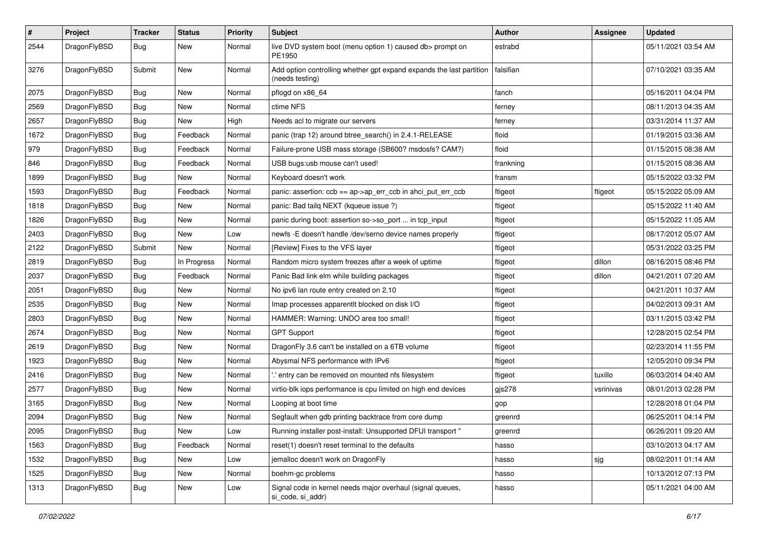| $\pmb{\#}$ | Project      | <b>Tracker</b> | <b>Status</b> | <b>Priority</b> | <b>Subject</b>                                                                          | <b>Author</b> | <b>Assignee</b> | <b>Updated</b>      |
|------------|--------------|----------------|---------------|-----------------|-----------------------------------------------------------------------------------------|---------------|-----------------|---------------------|
| 2544       | DragonFlyBSD | Bug            | New           | Normal          | live DVD system boot (menu option 1) caused db> prompt on<br>PE1950                     | estrabd       |                 | 05/11/2021 03:54 AM |
| 3276       | DragonFlyBSD | Submit         | <b>New</b>    | Normal          | Add option controlling whether gpt expand expands the last partition<br>(needs testing) | falsifian     |                 | 07/10/2021 03:35 AM |
| 2075       | DragonFlyBSD | Bug            | <b>New</b>    | Normal          | pflogd on x86_64                                                                        | fanch         |                 | 05/16/2011 04:04 PM |
| 2569       | DragonFlyBSD | Bug            | New           | Normal          | ctime NFS                                                                               | ferney        |                 | 08/11/2013 04:35 AM |
| 2657       | DragonFlyBSD | Bug            | New           | High            | Needs acl to migrate our servers                                                        | ferney        |                 | 03/31/2014 11:37 AM |
| 1672       | DragonFlyBSD | Bug            | Feedback      | Normal          | panic (trap 12) around btree_search() in 2.4.1-RELEASE                                  | floid         |                 | 01/19/2015 03:36 AM |
| 979        | DragonFlyBSD | <b>Bug</b>     | Feedback      | Normal          | Failure-prone USB mass storage (SB600? msdosfs? CAM?)                                   | floid         |                 | 01/15/2015 08:38 AM |
| 846        | DragonFlyBSD | Bug            | Feedback      | Normal          | USB bugs:usb mouse can't used!                                                          | frankning     |                 | 01/15/2015 08:36 AM |
| 1899       | DragonFlyBSD | <b>Bug</b>     | New           | Normal          | Keyboard doesn't work                                                                   | fransm        |                 | 05/15/2022 03:32 PM |
| 1593       | DragonFlyBSD | <b>Bug</b>     | Feedback      | Normal          | panic: assertion: ccb == ap->ap_err_ccb in ahci_put_err_ccb                             | ftigeot       | ftigeot         | 05/15/2022 05:09 AM |
| 1818       | DragonFlyBSD | <b>Bug</b>     | New           | Normal          | panic: Bad tailq NEXT (kqueue issue ?)                                                  | ftigeot       |                 | 05/15/2022 11:40 AM |
| 1826       | DragonFlyBSD | <b>Bug</b>     | <b>New</b>    | Normal          | panic during boot: assertion so->so_port  in tcp_input                                  | ftigeot       |                 | 05/15/2022 11:05 AM |
| 2403       | DragonFlyBSD | Bug            | <b>New</b>    | Low             | newfs -E doesn't handle /dev/serno device names properly                                | ftigeot       |                 | 08/17/2012 05:07 AM |
| 2122       | DragonFlyBSD | Submit         | New           | Normal          | [Review] Fixes to the VFS layer                                                         | ftigeot       |                 | 05/31/2022 03:25 PM |
| 2819       | DragonFlyBSD | Bug            | In Progress   | Normal          | Random micro system freezes after a week of uptime                                      | ftigeot       | dillon          | 08/16/2015 08:46 PM |
| 2037       | DragonFlyBSD | Bug            | Feedback      | Normal          | Panic Bad link elm while building packages                                              | ftigeot       | dillon          | 04/21/2011 07:20 AM |
| 2051       | DragonFlyBSD | <b>Bug</b>     | New           | Normal          | No ipv6 lan route entry created on 2.10                                                 | ftigeot       |                 | 04/21/2011 10:37 AM |
| 2535       | DragonFlyBSD | Bug            | New           | Normal          | Imap processes apparentlt blocked on disk I/O                                           | ftigeot       |                 | 04/02/2013 09:31 AM |
| 2803       | DragonFlyBSD | Bug            | New           | Normal          | HAMMER: Warning: UNDO area too small!                                                   | ftigeot       |                 | 03/11/2015 03:42 PM |
| 2674       | DragonFlyBSD | <b>Bug</b>     | New           | Normal          | <b>GPT Support</b>                                                                      | ftigeot       |                 | 12/28/2015 02:54 PM |
| 2619       | DragonFlyBSD | Bug            | New           | Normal          | DragonFly 3.6 can't be installed on a 6TB volume                                        | ftigeot       |                 | 02/23/2014 11:55 PM |
| 1923       | DragonFlyBSD | <b>Bug</b>     | New           | Normal          | Abysmal NFS performance with IPv6                                                       | ftigeot       |                 | 12/05/2010 09:34 PM |
| 2416       | DragonFlyBSD | Bug            | <b>New</b>    | Normal          | ".' entry can be removed on mounted nfs filesystem                                      | ftigeot       | tuxillo         | 06/03/2014 04:40 AM |
| 2577       | DragonFlyBSD | Bug            | New           | Normal          | virtio-blk iops performance is cpu limited on high end devices                          | gjs278        | vsrinivas       | 08/01/2013 02:28 PM |
| 3165       | DragonFlyBSD | Bug            | New           | Normal          | Looping at boot time                                                                    | gop           |                 | 12/28/2018 01:04 PM |
| 2094       | DragonFlyBSD | Bug            | <b>New</b>    | Normal          | Segfault when gdb printing backtrace from core dump                                     | greenrd       |                 | 06/25/2011 04:14 PM |
| 2095       | DragonFlyBSD | Bug            | New           | Low             | Running installer post-install: Unsupported DFUI transport "                            | greenrd       |                 | 06/26/2011 09:20 AM |
| 1563       | DragonFlyBSD | <b>Bug</b>     | Feedback      | Normal          | reset(1) doesn't reset terminal to the defaults                                         | hasso         |                 | 03/10/2013 04:17 AM |
| 1532       | DragonFlyBSD | <b>Bug</b>     | <b>New</b>    | Low             | jemalloc doesn't work on DragonFly                                                      | hasso         | sjg             | 08/02/2011 01:14 AM |
| 1525       | DragonFlyBSD | Bug            | New           | Normal          | boehm-gc problems                                                                       | hasso         |                 | 10/13/2012 07:13 PM |
| 1313       | DragonFlyBSD | Bug            | New           | Low             | Signal code in kernel needs major overhaul (signal queues,<br>si_code, si_addr)         | hasso         |                 | 05/11/2021 04:00 AM |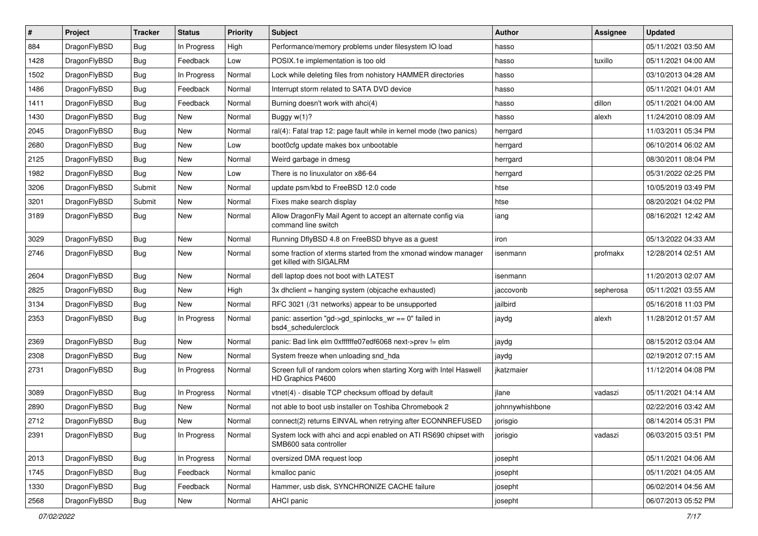| $\#$ | Project      | <b>Tracker</b> | <b>Status</b> | <b>Priority</b> | Subject                                                                                    | <b>Author</b>   | <b>Assignee</b> | <b>Updated</b>      |
|------|--------------|----------------|---------------|-----------------|--------------------------------------------------------------------------------------------|-----------------|-----------------|---------------------|
| 884  | DragonFlyBSD | Bug            | In Progress   | High            | Performance/memory problems under filesystem IO load                                       | hasso           |                 | 05/11/2021 03:50 AM |
| 1428 | DragonFlyBSD | Bug            | Feedback      | Low             | POSIX.1e implementation is too old                                                         | hasso           | tuxillo         | 05/11/2021 04:00 AM |
| 1502 | DragonFlyBSD | Bug            | In Progress   | Normal          | Lock while deleting files from nohistory HAMMER directories                                | hasso           |                 | 03/10/2013 04:28 AM |
| 1486 | DragonFlyBSD | <b>Bug</b>     | Feedback      | Normal          | Interrupt storm related to SATA DVD device                                                 | hasso           |                 | 05/11/2021 04:01 AM |
| 1411 | DragonFlyBSD | Bug            | Feedback      | Normal          | Burning doesn't work with ahci(4)                                                          | hasso           | dillon          | 05/11/2021 04:00 AM |
| 1430 | DragonFlyBSD | <b>Bug</b>     | New           | Normal          | Buggy $w(1)$ ?                                                                             | hasso           | alexh           | 11/24/2010 08:09 AM |
| 2045 | DragonFlyBSD | Bug            | New           | Normal          | ral(4): Fatal trap 12: page fault while in kernel mode (two panics)                        | herrgard        |                 | 11/03/2011 05:34 PM |
| 2680 | DragonFlyBSD | Bug            | <b>New</b>    | Low             | boot0cfg update makes box unbootable                                                       | herrgard        |                 | 06/10/2014 06:02 AM |
| 2125 | DragonFlyBSD | Bug            | New           | Normal          | Weird garbage in dmesg                                                                     | herrgard        |                 | 08/30/2011 08:04 PM |
| 1982 | DragonFlyBSD | Bug            | <b>New</b>    | Low             | There is no linuxulator on x86-64                                                          | herrgard        |                 | 05/31/2022 02:25 PM |
| 3206 | DragonFlyBSD | Submit         | New           | Normal          | update psm/kbd to FreeBSD 12.0 code                                                        | htse            |                 | 10/05/2019 03:49 PM |
| 3201 | DragonFlyBSD | Submit         | New           | Normal          | Fixes make search display                                                                  | htse            |                 | 08/20/2021 04:02 PM |
| 3189 | DragonFlyBSD | Bug            | <b>New</b>    | Normal          | Allow DragonFly Mail Agent to accept an alternate config via<br>command line switch        | iang            |                 | 08/16/2021 12:42 AM |
| 3029 | DragonFlyBSD | <b>Bug</b>     | New           | Normal          | Running DflyBSD 4.8 on FreeBSD bhyve as a guest                                            | iron            |                 | 05/13/2022 04:33 AM |
| 2746 | DragonFlyBSD | <b>Bug</b>     | <b>New</b>    | Normal          | some fraction of xterms started from the xmonad window manager<br>get killed with SIGALRM  | isenmann        | profmakx        | 12/28/2014 02:51 AM |
| 2604 | DragonFlyBSD | <b>Bug</b>     | <b>New</b>    | Normal          | dell laptop does not boot with LATEST                                                      | isenmann        |                 | 11/20/2013 02:07 AM |
| 2825 | DragonFlyBSD | <b>Bug</b>     | New           | High            | 3x dhclient = hanging system (objcache exhausted)                                          | jaccovonb       | sepherosa       | 05/11/2021 03:55 AM |
| 3134 | DragonFlyBSD | <b>Bug</b>     | New           | Normal          | RFC 3021 (/31 networks) appear to be unsupported                                           | jailbird        |                 | 05/16/2018 11:03 PM |
| 2353 | DragonFlyBSD | <b>Bug</b>     | In Progress   | Normal          | panic: assertion "gd->gd_spinlocks_wr == 0" failed in<br>bsd4_schedulerclock               | jaydg           | alexh           | 11/28/2012 01:57 AM |
| 2369 | DragonFlyBSD | <b>Bug</b>     | New           | Normal          | panic: Bad link elm 0xffffffe07edf6068 next->prev != elm                                   | jaydg           |                 | 08/15/2012 03:04 AM |
| 2308 | DragonFlyBSD | <b>Bug</b>     | New           | Normal          | System freeze when unloading snd_hda                                                       | jaydg           |                 | 02/19/2012 07:15 AM |
| 2731 | DragonFlyBSD | <b>Bug</b>     | In Progress   | Normal          | Screen full of random colors when starting Xorg with Intel Haswell<br>HD Graphics P4600    | jkatzmaier      |                 | 11/12/2014 04:08 PM |
| 3089 | DragonFlyBSD | <b>Bug</b>     | In Progress   | Normal          | vtnet(4) - disable TCP checksum offload by default                                         | jlane           | vadaszi         | 05/11/2021 04:14 AM |
| 2890 | DragonFlyBSD | <b>Bug</b>     | <b>New</b>    | Normal          | not able to boot usb installer on Toshiba Chromebook 2                                     | johnnywhishbone |                 | 02/22/2016 03:42 AM |
| 2712 | DragonFlyBSD | <b>Bug</b>     | New           | Normal          | connect(2) returns EINVAL when retrying after ECONNREFUSED                                 | jorisgio        |                 | 08/14/2014 05:31 PM |
| 2391 | DragonFlyBSD | <b>Bug</b>     | In Progress   | Normal          | System lock with ahci and acpi enabled on ATI RS690 chipset with<br>SMB600 sata controller | jorisgio        | vadaszi         | 06/03/2015 03:51 PM |
| 2013 | DragonFlyBSD | <b>Bug</b>     | In Progress   | Normal          | oversized DMA request loop                                                                 | josepht         |                 | 05/11/2021 04:06 AM |
| 1745 | DragonFlyBSD | <b>Bug</b>     | Feedback      | Normal          | kmalloc panic                                                                              | josepht         |                 | 05/11/2021 04:05 AM |
| 1330 | DragonFlyBSD | <b>Bug</b>     | Feedback      | Normal          | Hammer, usb disk, SYNCHRONIZE CACHE failure                                                | josepht         |                 | 06/02/2014 04:56 AM |
| 2568 | DragonFlyBSD | <b>Bug</b>     | New           | Normal          | AHCI panic                                                                                 | josepht         |                 | 06/07/2013 05:52 PM |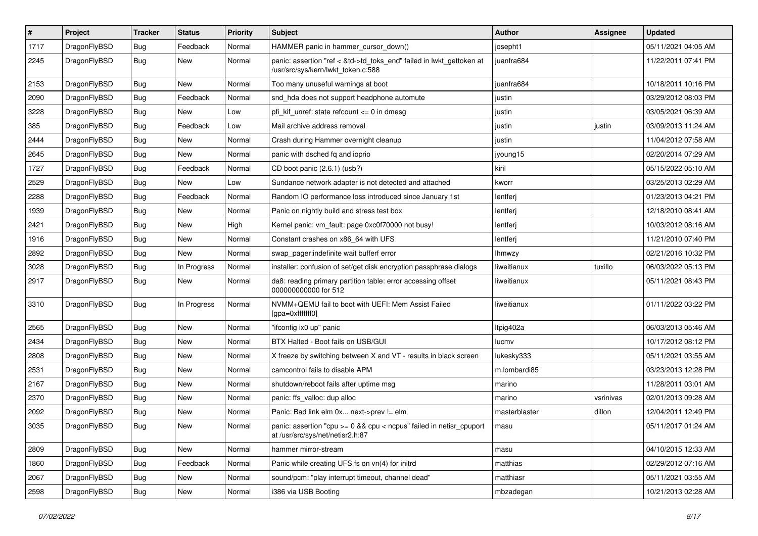| $\sharp$ | Project      | <b>Tracker</b> | <b>Status</b> | <b>Priority</b> | Subject                                                                                                    | <b>Author</b> | Assignee  | <b>Updated</b>      |
|----------|--------------|----------------|---------------|-----------------|------------------------------------------------------------------------------------------------------------|---------------|-----------|---------------------|
| 1717     | DragonFlyBSD | <b>Bug</b>     | Feedback      | Normal          | HAMMER panic in hammer cursor down()                                                                       | josepht1      |           | 05/11/2021 04:05 AM |
| 2245     | DragonFlyBSD | <b>Bug</b>     | New           | Normal          | panic: assertion "ref < &td->td_toks_end" failed in lwkt_gettoken at<br>/usr/src/sys/kern/lwkt_token.c:588 | juanfra684    |           | 11/22/2011 07:41 PM |
| 2153     | DragonFlyBSD | <b>Bug</b>     | New           | Normal          | Too many unuseful warnings at boot                                                                         | juanfra684    |           | 10/18/2011 10:16 PM |
| 2090     | DragonFlyBSD | <b>Bug</b>     | Feedback      | Normal          | snd_hda does not support headphone automute                                                                | justin        |           | 03/29/2012 08:03 PM |
| 3228     | DragonFlyBSD | <b>Bug</b>     | New           | Low             | pfi kif unref: state refcount $\leq$ 0 in dmesg                                                            | justin        |           | 03/05/2021 06:39 AM |
| 385      | DragonFlyBSD | <b>Bug</b>     | Feedback      | Low             | Mail archive address removal                                                                               | justin        | justin    | 03/09/2013 11:24 AM |
| 2444     | DragonFlyBSD | <b>Bug</b>     | New           | Normal          | Crash during Hammer overnight cleanup                                                                      | justin        |           | 11/04/2012 07:58 AM |
| 2645     | DragonFlyBSD | <b>Bug</b>     | New           | Normal          | panic with dsched fq and ioprio                                                                            | jyoung15      |           | 02/20/2014 07:29 AM |
| 1727     | DragonFlyBSD | <b>Bug</b>     | Feedback      | Normal          | CD boot panic (2.6.1) (usb?)                                                                               | kiril         |           | 05/15/2022 05:10 AM |
| 2529     | DragonFlyBSD | Bug            | <b>New</b>    | Low             | Sundance network adapter is not detected and attached                                                      | kworr         |           | 03/25/2013 02:29 AM |
| 2288     | DragonFlyBSD | Bug            | Feedback      | Normal          | Random IO performance loss introduced since January 1st                                                    | lentferj      |           | 01/23/2013 04:21 PM |
| 1939     | DragonFlyBSD | <b>Bug</b>     | New           | Normal          | Panic on nightly build and stress test box                                                                 | lentferj      |           | 12/18/2010 08:41 AM |
| 2421     | DragonFlyBSD | Bug            | <b>New</b>    | High            | Kernel panic: vm_fault: page 0xc0f70000 not busy!                                                          | lentferj      |           | 10/03/2012 08:16 AM |
| 1916     | DragonFlyBSD | Bug            | New           | Normal          | Constant crashes on x86_64 with UFS                                                                        | lentferj      |           | 11/21/2010 07:40 PM |
| 2892     | DragonFlyBSD | Bug            | <b>New</b>    | Normal          | swap_pager:indefinite wait bufferf error                                                                   | Ihmwzy        |           | 02/21/2016 10:32 PM |
| 3028     | DragonFlyBSD | Bug            | In Progress   | Normal          | installer: confusion of set/get disk encryption passphrase dialogs                                         | liweitianux   | tuxillo   | 06/03/2022 05:13 PM |
| 2917     | DragonFlyBSD | Bug            | New           | Normal          | da8: reading primary partition table: error accessing offset<br>000000000000 for 512                       | liweitianux   |           | 05/11/2021 08:43 PM |
| 3310     | DragonFlyBSD | Bug            | In Progress   | Normal          | NVMM+QEMU fail to boot with UEFI: Mem Assist Failed<br>[gpa=0xfffffff0]                                    | liweitianux   |           | 01/11/2022 03:22 PM |
| 2565     | DragonFlyBSD | Bug            | New           | Normal          | "ifconfig ix0 up" panic                                                                                    | Itpig402a     |           | 06/03/2013 05:46 AM |
| 2434     | DragonFlyBSD | Bug            | <b>New</b>    | Normal          | BTX Halted - Boot fails on USB/GUI                                                                         | lucmv         |           | 10/17/2012 08:12 PM |
| 2808     | DragonFlyBSD | Bug            | <b>New</b>    | Normal          | X freeze by switching between X and VT - results in black screen                                           | lukesky333    |           | 05/11/2021 03:55 AM |
| 2531     | DragonFlyBSD | Bug            | New           | Normal          | camcontrol fails to disable APM                                                                            | m.lombardi85  |           | 03/23/2013 12:28 PM |
| 2167     | DragonFlyBSD | Bug            | <b>New</b>    | Normal          | shutdown/reboot fails after uptime msg                                                                     | marino        |           | 11/28/2011 03:01 AM |
| 2370     | DragonFlyBSD | <b>Bug</b>     | <b>New</b>    | Normal          | panic: ffs_valloc: dup alloc                                                                               | marino        | vsrinivas | 02/01/2013 09:28 AM |
| 2092     | DragonFlyBSD | <b>Bug</b>     | New           | Normal          | Panic: Bad link elm 0x next->prev != elm                                                                   | masterblaster | dillon    | 12/04/2011 12:49 PM |
| 3035     | DragonFlyBSD | Bug            | <b>New</b>    | Normal          | panic: assertion "cpu >= 0 && cpu < ncpus" failed in netisr_cpuport<br>at /usr/src/sys/net/netisr2.h:87    | masu          |           | 05/11/2017 01:24 AM |
| 2809     | DragonFlyBSD | <b>Bug</b>     | New           | Normal          | hammer mirror-stream                                                                                       | masu          |           | 04/10/2015 12:33 AM |
| 1860     | DragonFlyBSD | <b>Bug</b>     | Feedback      | Normal          | Panic while creating UFS fs on vn(4) for initrd                                                            | matthias      |           | 02/29/2012 07:16 AM |
| 2067     | DragonFlyBSD | Bug            | New           | Normal          | sound/pcm: "play interrupt timeout, channel dead"                                                          | matthiasr     |           | 05/11/2021 03:55 AM |
| 2598     | DragonFlyBSD | <b>Bug</b>     | New           | Normal          | i386 via USB Booting                                                                                       | mbzadegan     |           | 10/21/2013 02:28 AM |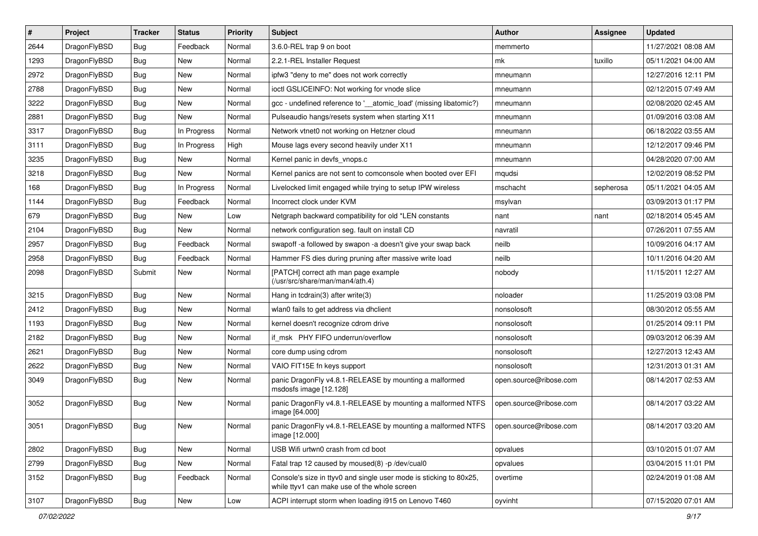| #    | Project      | <b>Tracker</b> | <b>Status</b> | <b>Priority</b> | Subject                                                                                                            | <b>Author</b>          | Assignee  | <b>Updated</b>      |
|------|--------------|----------------|---------------|-----------------|--------------------------------------------------------------------------------------------------------------------|------------------------|-----------|---------------------|
| 2644 | DragonFlyBSD | Bug            | Feedback      | Normal          | 3.6.0-REL trap 9 on boot                                                                                           | memmerto               |           | 11/27/2021 08:08 AM |
| 1293 | DragonFlyBSD | Bug            | <b>New</b>    | Normal          | 2.2.1-REL Installer Request                                                                                        | mk                     | tuxillo   | 05/11/2021 04:00 AM |
| 2972 | DragonFlyBSD | <b>Bug</b>     | New           | Normal          | ipfw3 "deny to me" does not work correctly                                                                         | mneumann               |           | 12/27/2016 12:11 PM |
| 2788 | DragonFlyBSD | <b>Bug</b>     | New           | Normal          | ioctl GSLICEINFO: Not working for vnode slice                                                                      | mneumann               |           | 02/12/2015 07:49 AM |
| 3222 | DragonFlyBSD | Bug            | New           | Normal          | gcc - undefined reference to '__atomic_load' (missing libatomic?)                                                  | mneumann               |           | 02/08/2020 02:45 AM |
| 2881 | DragonFlyBSD | <b>Bug</b>     | New           | Normal          | Pulseaudio hangs/resets system when starting X11                                                                   | mneumann               |           | 01/09/2016 03:08 AM |
| 3317 | DragonFlyBSD | <b>Bug</b>     | In Progress   | Normal          | Network vtnet0 not working on Hetzner cloud                                                                        | mneumann               |           | 06/18/2022 03:55 AM |
| 3111 | DragonFlyBSD | <b>Bug</b>     | In Progress   | High            | Mouse lags every second heavily under X11                                                                          | mneumann               |           | 12/12/2017 09:46 PM |
| 3235 | DragonFlyBSD | <b>Bug</b>     | <b>New</b>    | Normal          | Kernel panic in devfs_vnops.c                                                                                      | mneumann               |           | 04/28/2020 07:00 AM |
| 3218 | DragonFlyBSD | Bug            | New           | Normal          | Kernel panics are not sent to comconsole when booted over EFI                                                      | mqudsi                 |           | 12/02/2019 08:52 PM |
| 168  | DragonFlyBSD | <b>Bug</b>     | In Progress   | Normal          | Livelocked limit engaged while trying to setup IPW wireless                                                        | mschacht               | sepherosa | 05/11/2021 04:05 AM |
| 1144 | DragonFlyBSD | <b>Bug</b>     | Feedback      | Normal          | Incorrect clock under KVM                                                                                          | msylvan                |           | 03/09/2013 01:17 PM |
| 679  | DragonFlyBSD | <b>Bug</b>     | New           | Low             | Netgraph backward compatibility for old *LEN constants                                                             | nant                   | nant      | 02/18/2014 05:45 AM |
| 2104 | DragonFlyBSD | <b>Bug</b>     | New           | Normal          | network configuration seg. fault on install CD                                                                     | navratil               |           | 07/26/2011 07:55 AM |
| 2957 | DragonFlyBSD | Bug            | Feedback      | Normal          | swapoff -a followed by swapon -a doesn't give your swap back                                                       | neilb                  |           | 10/09/2016 04:17 AM |
| 2958 | DragonFlyBSD | <b>Bug</b>     | Feedback      | Normal          | Hammer FS dies during pruning after massive write load                                                             | neilb                  |           | 10/11/2016 04:20 AM |
| 2098 | DragonFlyBSD | Submit         | New           | Normal          | [PATCH] correct ath man page example<br>(/usr/src/share/man/man4/ath.4)                                            | nobody                 |           | 11/15/2011 12:27 AM |
| 3215 | DragonFlyBSD | Bug            | New           | Normal          | Hang in tcdrain(3) after write(3)                                                                                  | noloader               |           | 11/25/2019 03:08 PM |
| 2412 | DragonFlyBSD | Bug            | New           | Normal          | wlan0 fails to get address via dhclient                                                                            | nonsolosoft            |           | 08/30/2012 05:55 AM |
| 1193 | DragonFlyBSD | Bug            | New           | Normal          | kernel doesn't recognize cdrom drive                                                                               | nonsolosoft            |           | 01/25/2014 09:11 PM |
| 2182 | DragonFlyBSD | Bug            | <b>New</b>    | Normal          | if_msk PHY FIFO underrun/overflow                                                                                  | nonsolosoft            |           | 09/03/2012 06:39 AM |
| 2621 | DragonFlyBSD | Bug            | <b>New</b>    | Normal          | core dump using cdrom                                                                                              | nonsolosoft            |           | 12/27/2013 12:43 AM |
| 2622 | DragonFlyBSD | Bug            | New           | Normal          | VAIO FIT15E fn keys support                                                                                        | nonsolosoft            |           | 12/31/2013 01:31 AM |
| 3049 | DragonFlyBSD | Bug            | New           | Normal          | panic DragonFly v4.8.1-RELEASE by mounting a malformed<br>msdosfs image [12.128]                                   | open.source@ribose.com |           | 08/14/2017 02:53 AM |
| 3052 | DragonFlyBSD | Bug            | New           | Normal          | panic DragonFly v4.8.1-RELEASE by mounting a malformed NTFS<br>image [64.000]                                      | open.source@ribose.com |           | 08/14/2017 03:22 AM |
| 3051 | DragonFlyBSD | Bug            | New           | Normal          | panic DragonFly v4.8.1-RELEASE by mounting a malformed NTFS<br>image [12.000]                                      | open.source@ribose.com |           | 08/14/2017 03:20 AM |
| 2802 | DragonFlyBSD | <b>Bug</b>     | New           | Normal          | USB Wifi urtwn0 crash from cd boot                                                                                 | opvalues               |           | 03/10/2015 01:07 AM |
| 2799 | DragonFlyBSD | <b>Bug</b>     | New           | Normal          | Fatal trap 12 caused by moused(8) -p /dev/cual0                                                                    | opvalues               |           | 03/04/2015 11:01 PM |
| 3152 | DragonFlyBSD | <b>Bug</b>     | Feedback      | Normal          | Console's size in ttyv0 and single user mode is sticking to 80x25,<br>while ttyv1 can make use of the whole screen | overtime               |           | 02/24/2019 01:08 AM |
| 3107 | DragonFlyBSD | Bug            | New           | Low             | ACPI interrupt storm when loading i915 on Lenovo T460                                                              | oyvinht                |           | 07/15/2020 07:01 AM |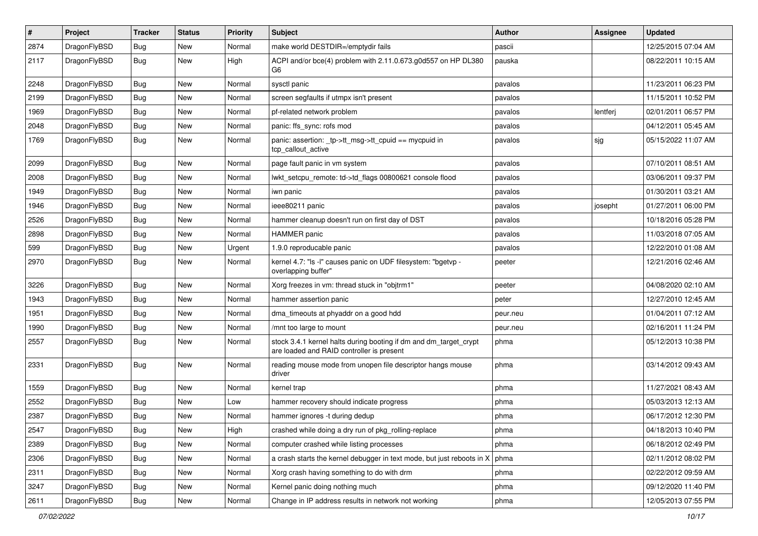| $\pmb{\#}$ | Project      | <b>Tracker</b> | <b>Status</b> | <b>Priority</b> | Subject                                                                                                        | <b>Author</b> | Assignee | <b>Updated</b>      |
|------------|--------------|----------------|---------------|-----------------|----------------------------------------------------------------------------------------------------------------|---------------|----------|---------------------|
| 2874       | DragonFlyBSD | Bug            | New           | Normal          | make world DESTDIR=/emptydir fails                                                                             | pascii        |          | 12/25/2015 07:04 AM |
| 2117       | DragonFlyBSD | Bug            | New           | High            | ACPI and/or bce(4) problem with 2.11.0.673.g0d557 on HP DL380<br>G6                                            | pauska        |          | 08/22/2011 10:15 AM |
| 2248       | DragonFlyBSD | <b>Bug</b>     | New           | Normal          | sysctl panic                                                                                                   | pavalos       |          | 11/23/2011 06:23 PM |
| 2199       | DragonFlyBSD | Bug            | <b>New</b>    | Normal          | screen segfaults if utmpx isn't present                                                                        | pavalos       |          | 11/15/2011 10:52 PM |
| 1969       | DragonFlyBSD | <b>Bug</b>     | New           | Normal          | pf-related network problem                                                                                     | pavalos       | lentferj | 02/01/2011 06:57 PM |
| 2048       | DragonFlyBSD | <b>Bug</b>     | New           | Normal          | panic: ffs_sync: rofs mod                                                                                      | pavalos       |          | 04/12/2011 05:45 AM |
| 1769       | DragonFlyBSD | Bug            | New           | Normal          | panic: assertion: tp->tt_msg->tt_cpuid == mycpuid in<br>tcp_callout_active                                     | pavalos       | sjg      | 05/15/2022 11:07 AM |
| 2099       | DragonFlyBSD | Bug            | New           | Normal          | page fault panic in vm system                                                                                  | pavalos       |          | 07/10/2011 08:51 AM |
| 2008       | DragonFlyBSD | <b>Bug</b>     | <b>New</b>    | Normal          | lwkt_setcpu_remote: td->td_flags 00800621 console flood                                                        | pavalos       |          | 03/06/2011 09:37 PM |
| 1949       | DragonFlyBSD | Bug            | <b>New</b>    | Normal          | iwn panic                                                                                                      | pavalos       |          | 01/30/2011 03:21 AM |
| 1946       | DragonFlyBSD | <b>Bug</b>     | <b>New</b>    | Normal          | ieee80211 panic                                                                                                | pavalos       | josepht  | 01/27/2011 06:00 PM |
| 2526       | DragonFlyBSD | <b>Bug</b>     | <b>New</b>    | Normal          | hammer cleanup doesn't run on first day of DST                                                                 | pavalos       |          | 10/18/2016 05:28 PM |
| 2898       | DragonFlyBSD | Bug            | New           | Normal          | <b>HAMMER</b> panic                                                                                            | pavalos       |          | 11/03/2018 07:05 AM |
| 599        | DragonFlyBSD | Bug            | New           | Urgent          | 1.9.0 reproducable panic                                                                                       | pavalos       |          | 12/22/2010 01:08 AM |
| 2970       | DragonFlyBSD | Bug            | New           | Normal          | kernel 4.7: "Is -I" causes panic on UDF filesystem: "bgetvp -<br>overlapping buffer"                           | peeter        |          | 12/21/2016 02:46 AM |
| 3226       | DragonFlyBSD | <b>Bug</b>     | <b>New</b>    | Normal          | Xorg freezes in vm: thread stuck in "objtrm1"                                                                  | peeter        |          | 04/08/2020 02:10 AM |
| 1943       | DragonFlyBSD | Bug            | New           | Normal          | hammer assertion panic                                                                                         | peter         |          | 12/27/2010 12:45 AM |
| 1951       | DragonFlyBSD | <b>Bug</b>     | New           | Normal          | dma_timeouts at phyaddr on a good hdd                                                                          | peur.neu      |          | 01/04/2011 07:12 AM |
| 1990       | DragonFlyBSD | <b>Bug</b>     | <b>New</b>    | Normal          | /mnt too large to mount                                                                                        | peur.neu      |          | 02/16/2011 11:24 PM |
| 2557       | DragonFlyBSD | Bug            | New           | Normal          | stock 3.4.1 kernel halts during booting if dm and dm_target_crypt<br>are loaded and RAID controller is present | phma          |          | 05/12/2013 10:38 PM |
| 2331       | DragonFlyBSD | Bug            | New           | Normal          | reading mouse mode from unopen file descriptor hangs mouse<br>driver                                           | phma          |          | 03/14/2012 09:43 AM |
| 1559       | DragonFlyBSD | Bug            | New           | Normal          | kernel trap                                                                                                    | phma          |          | 11/27/2021 08:43 AM |
| 2552       | DragonFlyBSD | Bug            | <b>New</b>    | Low             | hammer recovery should indicate progress                                                                       | phma          |          | 05/03/2013 12:13 AM |
| 2387       | DragonFlyBSD | Bug            | New           | Normal          | hammer ignores -t during dedup                                                                                 | phma          |          | 06/17/2012 12:30 PM |
| 2547       | DragonFlyBSD | Bug            | New           | High            | crashed while doing a dry run of pkg_rolling-replace                                                           | phma          |          | 04/18/2013 10:40 PM |
| 2389       | DragonFlyBSD | Bug            | New           | Normal          | computer crashed while listing processes                                                                       | phma          |          | 06/18/2012 02:49 PM |
| 2306       | DragonFlyBSD | <b>Bug</b>     | New           | Normal          | a crash starts the kernel debugger in text mode, but just reboots in $X \mid p$ hma                            |               |          | 02/11/2012 08:02 PM |
| 2311       | DragonFlyBSD | <b>Bug</b>     | New           | Normal          | Xorg crash having something to do with drm                                                                     | phma          |          | 02/22/2012 09:59 AM |
| 3247       | DragonFlyBSD | <b>Bug</b>     | New           | Normal          | Kernel panic doing nothing much                                                                                | phma          |          | 09/12/2020 11:40 PM |
| 2611       | DragonFlyBSD | Bug            | New           | Normal          | Change in IP address results in network not working                                                            | phma          |          | 12/05/2013 07:55 PM |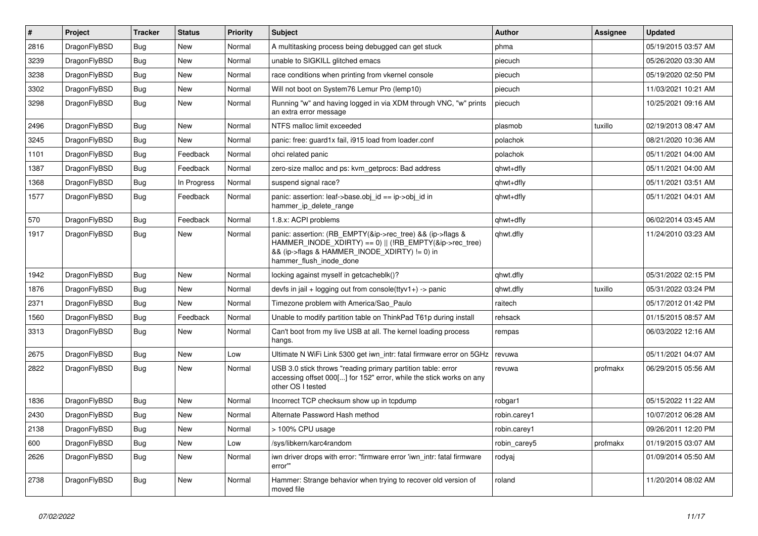| $\vert$ # | Project      | <b>Tracker</b> | <b>Status</b> | <b>Priority</b> | <b>Subject</b>                                                                                                                                                                                    | <b>Author</b> | Assignee | <b>Updated</b>      |
|-----------|--------------|----------------|---------------|-----------------|---------------------------------------------------------------------------------------------------------------------------------------------------------------------------------------------------|---------------|----------|---------------------|
| 2816      | DragonFlyBSD | Bug            | <b>New</b>    | Normal          | A multitasking process being debugged can get stuck                                                                                                                                               | phma          |          | 05/19/2015 03:57 AM |
| 3239      | DragonFlyBSD | Bug            | <b>New</b>    | Normal          | unable to SIGKILL glitched emacs                                                                                                                                                                  | piecuch       |          | 05/26/2020 03:30 AM |
| 3238      | DragonFlyBSD | Bug            | <b>New</b>    | Normal          | race conditions when printing from vkernel console                                                                                                                                                | piecuch       |          | 05/19/2020 02:50 PM |
| 3302      | DragonFlyBSD | Bug            | <b>New</b>    | Normal          | Will not boot on System76 Lemur Pro (lemp10)                                                                                                                                                      | piecuch       |          | 11/03/2021 10:21 AM |
| 3298      | DragonFlyBSD | Bug            | <b>New</b>    | Normal          | Running "w" and having logged in via XDM through VNC, "w" prints<br>an extra error message                                                                                                        | piecuch       |          | 10/25/2021 09:16 AM |
| 2496      | DragonFlyBSD | <b>Bug</b>     | <b>New</b>    | Normal          | NTFS malloc limit exceeded                                                                                                                                                                        | plasmob       | tuxillo  | 02/19/2013 08:47 AM |
| 3245      | DragonFlyBSD | <b>Bug</b>     | <b>New</b>    | Normal          | panic: free: guard1x fail, i915 load from loader.conf                                                                                                                                             | polachok      |          | 08/21/2020 10:36 AM |
| 1101      | DragonFlyBSD | <b>Bug</b>     | Feedback      | Normal          | ohci related panic                                                                                                                                                                                | polachok      |          | 05/11/2021 04:00 AM |
| 1387      | DragonFlyBSD | <b>Bug</b>     | Feedback      | Normal          | zero-size malloc and ps: kvm_getprocs: Bad address                                                                                                                                                | qhwt+dfly     |          | 05/11/2021 04:00 AM |
| 1368      | DragonFlyBSD | <b>Bug</b>     | In Progress   | Normal          | suspend signal race?                                                                                                                                                                              | qhwt+dfly     |          | 05/11/2021 03:51 AM |
| 1577      | DragonFlyBSD | Bug            | Feedback      | Normal          | panic: assertion: leaf->base.obj id == ip->obj id in<br>hammer ip delete range                                                                                                                    | qhwt+dfly     |          | 05/11/2021 04:01 AM |
| 570       | DragonFlyBSD | Bug            | Feedback      | Normal          | 1.8.x: ACPI problems                                                                                                                                                                              | qhwt+dfly     |          | 06/02/2014 03:45 AM |
| 1917      | DragonFlyBSD | Bug            | <b>New</b>    | Normal          | panic: assertion: (RB EMPTY(&ip->rec_tree) && (ip->flags &<br>HAMMER_INODE_XDIRTY) == 0)    (!RB_EMPTY(&ip->rec_tree)<br>&& (ip->flags & HAMMER_INODE_XDIRTY) != 0) in<br>hammer flush inode done | qhwt.dfly     |          | 11/24/2010 03:23 AM |
| 1942      | DragonFlyBSD | <b>Bug</b>     | <b>New</b>    | Normal          | locking against myself in getcacheblk()?                                                                                                                                                          | qhwt.dfly     |          | 05/31/2022 02:15 PM |
| 1876      | DragonFlyBSD | <b>Bug</b>     | <b>New</b>    | Normal          | devfs in jail + logging out from console(ttyv1+) -> panic                                                                                                                                         | qhwt.dfly     | tuxillo  | 05/31/2022 03:24 PM |
| 2371      | DragonFlyBSD | Bug            | <b>New</b>    | Normal          | Timezone problem with America/Sao_Paulo                                                                                                                                                           | raitech       |          | 05/17/2012 01:42 PM |
| 1560      | DragonFlyBSD | <b>Bug</b>     | Feedback      | Normal          | Unable to modify partition table on ThinkPad T61p during install                                                                                                                                  | rehsack       |          | 01/15/2015 08:57 AM |
| 3313      | DragonFlyBSD | <b>Bug</b>     | New           | Normal          | Can't boot from my live USB at all. The kernel loading process<br>hangs.                                                                                                                          | rempas        |          | 06/03/2022 12:16 AM |
| 2675      | DragonFlyBSD | <b>Bug</b>     | <b>New</b>    | Low             | Ultimate N WiFi Link 5300 get iwn_intr: fatal firmware error on 5GHz                                                                                                                              | revuwa        |          | 05/11/2021 04:07 AM |
| 2822      | DragonFlyBSD | Bug            | <b>New</b>    | Normal          | USB 3.0 stick throws "reading primary partition table: error<br>accessing offset 000[] for 152" error, while the stick works on any<br>other OS I tested                                          | revuwa        | profmakx | 06/29/2015 05:56 AM |
| 1836      | DragonFlyBSD | <b>Bug</b>     | <b>New</b>    | Normal          | Incorrect TCP checksum show up in tcpdump                                                                                                                                                         | robgar1       |          | 05/15/2022 11:22 AM |
| 2430      | DragonFlyBSD | Bug            | <b>New</b>    | Normal          | Alternate Password Hash method                                                                                                                                                                    | robin.carey1  |          | 10/07/2012 06:28 AM |
| 2138      | DragonFlyBSD | Bug            | <b>New</b>    | Normal          | > 100% CPU usage                                                                                                                                                                                  | robin.carey1  |          | 09/26/2011 12:20 PM |
| 600       | DragonFlyBSD | <b>Bug</b>     | <b>New</b>    | Low             | /sys/libkern/karc4random                                                                                                                                                                          | robin_carey5  | profmakx | 01/19/2015 03:07 AM |
| 2626      | DragonFlyBSD | Bug            | <b>New</b>    | Normal          | iwn driver drops with error: "firmware error 'iwn intr: fatal firmware<br>error"                                                                                                                  | rodyaj        |          | 01/09/2014 05:50 AM |
| 2738      | DragonFlyBSD | Bug            | <b>New</b>    | Normal          | Hammer: Strange behavior when trying to recover old version of<br>moved file                                                                                                                      | roland        |          | 11/20/2014 08:02 AM |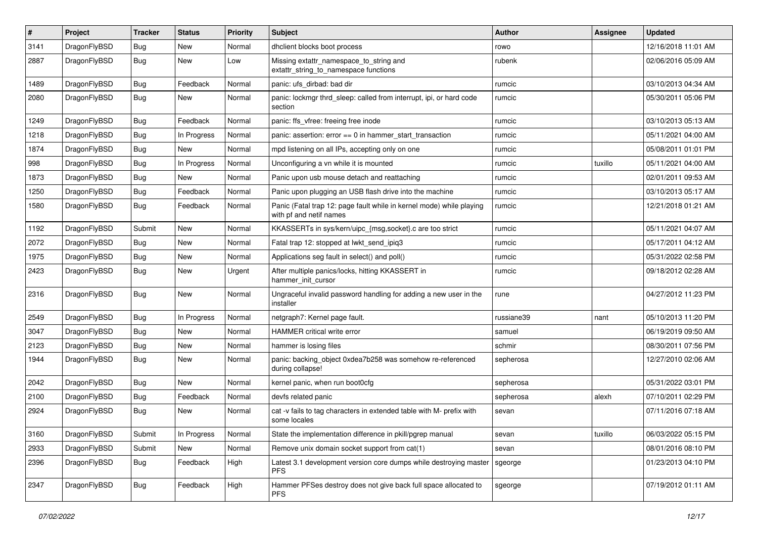| $\sharp$ | Project      | <b>Tracker</b> | <b>Status</b> | <b>Priority</b> | Subject                                                                                         | <b>Author</b> | Assignee | <b>Updated</b>      |
|----------|--------------|----------------|---------------|-----------------|-------------------------------------------------------------------------------------------------|---------------|----------|---------------------|
| 3141     | DragonFlyBSD | <b>Bug</b>     | <b>New</b>    | Normal          | dhclient blocks boot process                                                                    | rowo          |          | 12/16/2018 11:01 AM |
| 2887     | DragonFlyBSD | <b>Bug</b>     | New           | Low             | Missing extattr_namespace_to_string and<br>extattr_string_to_namespace functions                | rubenk        |          | 02/06/2016 05:09 AM |
| 1489     | DragonFlyBSD | <b>Bug</b>     | Feedback      | Normal          | panic: ufs dirbad: bad dir                                                                      | rumcic        |          | 03/10/2013 04:34 AM |
| 2080     | DragonFlyBSD | Bug            | New           | Normal          | panic: lockmgr thrd_sleep: called from interrupt, ipi, or hard code<br>section                  | rumcic        |          | 05/30/2011 05:06 PM |
| 1249     | DragonFlyBSD | Bug            | Feedback      | Normal          | panic: ffs_vfree: freeing free inode                                                            | rumcic        |          | 03/10/2013 05:13 AM |
| 1218     | DragonFlyBSD | <b>Bug</b>     | In Progress   | Normal          | panic: assertion: $error == 0$ in hammer start transaction                                      | rumcic        |          | 05/11/2021 04:00 AM |
| 1874     | DragonFlyBSD | <b>Bug</b>     | <b>New</b>    | Normal          | mpd listening on all IPs, accepting only on one                                                 | rumcic        |          | 05/08/2011 01:01 PM |
| 998      | DragonFlyBSD | Bug            | In Progress   | Normal          | Unconfiguring a vn while it is mounted                                                          | rumcic        | tuxillo  | 05/11/2021 04:00 AM |
| 1873     | DragonFlyBSD | <b>Bug</b>     | New           | Normal          | Panic upon usb mouse detach and reattaching                                                     | rumcic        |          | 02/01/2011 09:53 AM |
| 1250     | DragonFlyBSD | <b>Bug</b>     | Feedback      | Normal          | Panic upon plugging an USB flash drive into the machine                                         | rumcic        |          | 03/10/2013 05:17 AM |
| 1580     | DragonFlyBSD | Bug            | Feedback      | Normal          | Panic (Fatal trap 12: page fault while in kernel mode) while playing<br>with pf and netif names | rumcic        |          | 12/21/2018 01:21 AM |
| 1192     | DragonFlyBSD | Submit         | <b>New</b>    | Normal          | KKASSERTs in sys/kern/uipc_{msg,socket}.c are too strict                                        | rumcic        |          | 05/11/2021 04:07 AM |
| 2072     | DragonFlyBSD | Bug            | New           | Normal          | Fatal trap 12: stopped at lwkt_send_ipiq3                                                       | rumcic        |          | 05/17/2011 04:12 AM |
| 1975     | DragonFlyBSD | <b>Bug</b>     | <b>New</b>    | Normal          | Applications seg fault in select() and poll()                                                   | rumcic        |          | 05/31/2022 02:58 PM |
| 2423     | DragonFlyBSD | Bug            | New           | Urgent          | After multiple panics/locks, hitting KKASSERT in<br>hammer init cursor                          | rumcic        |          | 09/18/2012 02:28 AM |
| 2316     | DragonFlyBSD | Bug            | <b>New</b>    | Normal          | Ungraceful invalid password handling for adding a new user in the<br>installer                  | rune          |          | 04/27/2012 11:23 PM |
| 2549     | DragonFlyBSD | Bug            | In Progress   | Normal          | netgraph7: Kernel page fault.                                                                   | russiane39    | nant     | 05/10/2013 11:20 PM |
| 3047     | DragonFlyBSD | Bug            | New           | Normal          | HAMMER critical write error                                                                     | samuel        |          | 06/19/2019 09:50 AM |
| 2123     | DragonFlyBSD | <b>Bug</b>     | New           | Normal          | hammer is losing files                                                                          | schmir        |          | 08/30/2011 07:56 PM |
| 1944     | DragonFlyBSD | <b>Bug</b>     | <b>New</b>    | Normal          | panic: backing object 0xdea7b258 was somehow re-referenced<br>during collapse!                  | sepherosa     |          | 12/27/2010 02:06 AM |
| 2042     | DragonFlyBSD | Bug            | New           | Normal          | kernel panic, when run boot0cfg                                                                 | sepherosa     |          | 05/31/2022 03:01 PM |
| 2100     | DragonFlyBSD | <b>Bug</b>     | Feedback      | Normal          | devfs related panic                                                                             | sepherosa     | alexh    | 07/10/2011 02:29 PM |
| 2924     | DragonFlyBSD | Bug            | New           | Normal          | cat -v fails to tag characters in extended table with M- prefix with<br>some locales            | sevan         |          | 07/11/2016 07:18 AM |
| 3160     | DragonFlyBSD | Submit         | In Progress   | Normal          | State the implementation difference in pkill/pgrep manual                                       | sevan         | tuxillo  | 06/03/2022 05:15 PM |
| 2933     | DragonFlyBSD | Submit         | New           | Normal          | Remove unix domain socket support from cat(1)                                                   | sevan         |          | 08/01/2016 08:10 PM |
| 2396     | DragonFlyBSD | <b>Bug</b>     | Feedback      | High            | Latest 3.1 development version core dumps while destroying master<br><b>PFS</b>                 | sgeorge       |          | 01/23/2013 04:10 PM |
| 2347     | DragonFlyBSD | <b>Bug</b>     | Feedback      | High            | Hammer PFSes destroy does not give back full space allocated to<br><b>PFS</b>                   | sgeorge       |          | 07/19/2012 01:11 AM |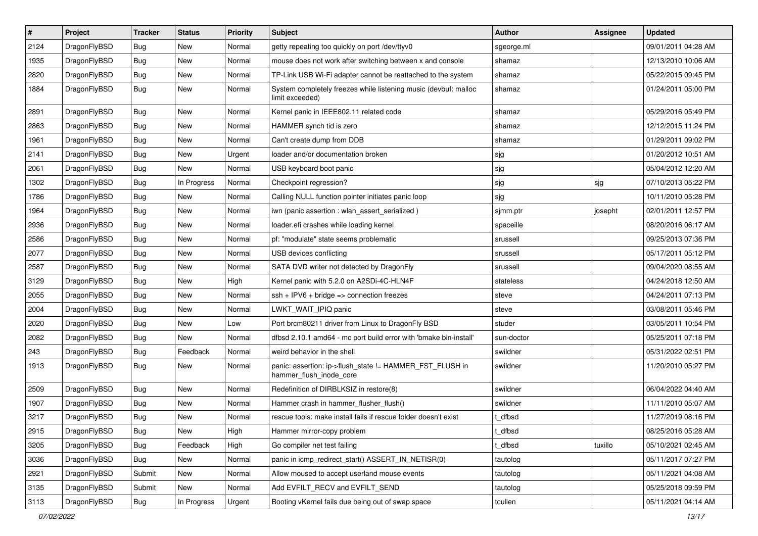| $\sharp$ | Project      | <b>Tracker</b> | <b>Status</b> | <b>Priority</b> | Subject                                                                             | <b>Author</b> | Assignee | <b>Updated</b>      |
|----------|--------------|----------------|---------------|-----------------|-------------------------------------------------------------------------------------|---------------|----------|---------------------|
| 2124     | DragonFlyBSD | <b>Bug</b>     | <b>New</b>    | Normal          | getty repeating too quickly on port /dev/ttyv0                                      | sgeorge.ml    |          | 09/01/2011 04:28 AM |
| 1935     | DragonFlyBSD | <b>Bug</b>     | <b>New</b>    | Normal          | mouse does not work after switching between x and console                           | shamaz        |          | 12/13/2010 10:06 AM |
| 2820     | DragonFlyBSD | <b>Bug</b>     | New           | Normal          | TP-Link USB Wi-Fi adapter cannot be reattached to the system                        | shamaz        |          | 05/22/2015 09:45 PM |
| 1884     | DragonFlyBSD | Bug            | <b>New</b>    | Normal          | System completely freezes while listening music (devbuf: malloc<br>limit exceeded)  | shamaz        |          | 01/24/2011 05:00 PM |
| 2891     | DragonFlyBSD | Bug            | New           | Normal          | Kernel panic in IEEE802.11 related code                                             | shamaz        |          | 05/29/2016 05:49 PM |
| 2863     | DragonFlyBSD | Bug            | <b>New</b>    | Normal          | HAMMER synch tid is zero                                                            | shamaz        |          | 12/12/2015 11:24 PM |
| 1961     | DragonFlyBSD | Bug            | <b>New</b>    | Normal          | Can't create dump from DDB                                                          | shamaz        |          | 01/29/2011 09:02 PM |
| 2141     | DragonFlyBSD | <b>Bug</b>     | New           | Urgent          | loader and/or documentation broken                                                  | sjg           |          | 01/20/2012 10:51 AM |
| 2061     | DragonFlyBSD | Bug            | <b>New</b>    | Normal          | USB keyboard boot panic                                                             | sjg           |          | 05/04/2012 12:20 AM |
| 1302     | DragonFlyBSD | Bug            | In Progress   | Normal          | Checkpoint regression?                                                              | sjg           | sjg      | 07/10/2013 05:22 PM |
| 1786     | DragonFlyBSD | Bug            | New           | Normal          | Calling NULL function pointer initiates panic loop                                  | sjg           |          | 10/11/2010 05:28 PM |
| 1964     | DragonFlyBSD | <b>Bug</b>     | <b>New</b>    | Normal          | iwn (panic assertion : wlan_assert_serialized)                                      | sjmm.ptr      | josepht  | 02/01/2011 12:57 PM |
| 2936     | DragonFlyBSD | <b>Bug</b>     | <b>New</b>    | Normal          | loader.efi crashes while loading kernel                                             | spaceille     |          | 08/20/2016 06:17 AM |
| 2586     | DragonFlyBSD | Bug            | <b>New</b>    | Normal          | pf: "modulate" state seems problematic                                              | srussell      |          | 09/25/2013 07:36 PM |
| 2077     | DragonFlyBSD | Bug            | <b>New</b>    | Normal          | USB devices conflicting                                                             | srussell      |          | 05/17/2011 05:12 PM |
| 2587     | DragonFlyBSD | Bug            | <b>New</b>    | Normal          | SATA DVD writer not detected by DragonFly                                           | srussell      |          | 09/04/2020 08:55 AM |
| 3129     | DragonFlyBSD | Bug            | New           | High            | Kernel panic with 5.2.0 on A2SDi-4C-HLN4F                                           | stateless     |          | 04/24/2018 12:50 AM |
| 2055     | DragonFlyBSD | Bug            | <b>New</b>    | Normal          | ssh + IPV6 + bridge => connection freezes                                           | steve         |          | 04/24/2011 07:13 PM |
| 2004     | DragonFlyBSD | Bug            | <b>New</b>    | Normal          | LWKT_WAIT_IPIQ panic                                                                | steve         |          | 03/08/2011 05:46 PM |
| 2020     | DragonFlyBSD | <b>Bug</b>     | <b>New</b>    | Low             | Port brcm80211 driver from Linux to DragonFly BSD                                   | studer        |          | 03/05/2011 10:54 PM |
| 2082     | DragonFlyBSD | <b>Bug</b>     | New           | Normal          | dfbsd 2.10.1 amd64 - mc port build error with 'bmake bin-install'                   | sun-doctor    |          | 05/25/2011 07:18 PM |
| 243      | DragonFlyBSD | Bug            | Feedback      | Normal          | weird behavior in the shell                                                         | swildner      |          | 05/31/2022 02:51 PM |
| 1913     | DragonFlyBSD | Bug            | New           | Normal          | panic: assertion: ip->flush_state != HAMMER_FST_FLUSH in<br>hammer_flush_inode_core | swildner      |          | 11/20/2010 05:27 PM |
| 2509     | DragonFlyBSD | Bug            | New           | Normal          | Redefinition of DIRBLKSIZ in restore(8)                                             | swildner      |          | 06/04/2022 04:40 AM |
| 1907     | DragonFlyBSD | Bug            | New           | Normal          | Hammer crash in hammer_flusher_flush()                                              | swildner      |          | 11/11/2010 05:07 AM |
| 3217     | DragonFlyBSD | Bug            | <b>New</b>    | Normal          | rescue tools: make install fails if rescue folder doesn't exist                     | t_dfbsd       |          | 11/27/2019 08:16 PM |
| 2915     | DragonFlyBSD | Bug            | <b>New</b>    | High            | Hammer mirror-copy problem                                                          | t_dfbsd       |          | 08/25/2016 05:28 AM |
| 3205     | DragonFlyBSD | <b>Bug</b>     | Feedback      | High            | Go compiler net test failing                                                        | t_dfbsd       | tuxillo  | 05/10/2021 02:45 AM |
| 3036     | DragonFlyBSD | <b>Bug</b>     | New           | Normal          | panic in icmp redirect start() ASSERT IN NETISR(0)                                  | tautolog      |          | 05/11/2017 07:27 PM |
| 2921     | DragonFlyBSD | Submit         | New           | Normal          | Allow moused to accept userland mouse events                                        | tautolog      |          | 05/11/2021 04:08 AM |
| 3135     | DragonFlyBSD | Submit         | New           | Normal          | Add EVFILT_RECV and EVFILT_SEND                                                     | tautolog      |          | 05/25/2018 09:59 PM |
| 3113     | DragonFlyBSD | <b>Bug</b>     | In Progress   | Urgent          | Booting vKernel fails due being out of swap space                                   | tcullen       |          | 05/11/2021 04:14 AM |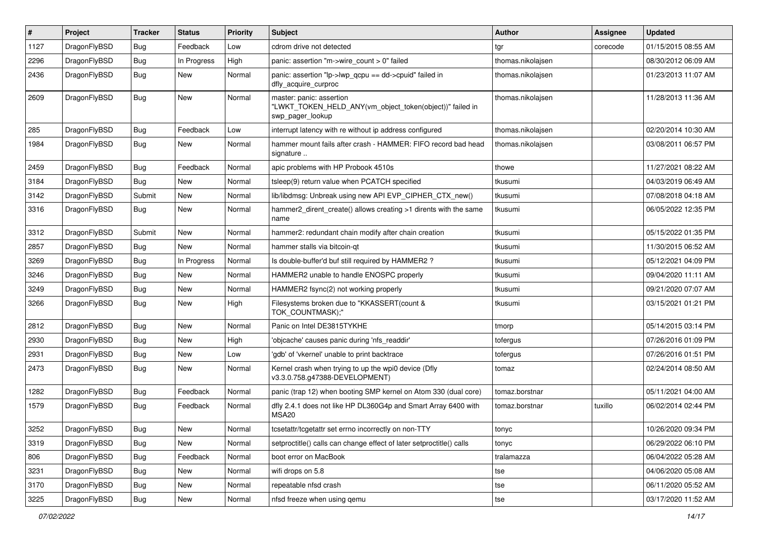| #    | Project      | <b>Tracker</b> | <b>Status</b> | Priority | Subject                                                                                                  | <b>Author</b>     | Assignee | <b>Updated</b>      |
|------|--------------|----------------|---------------|----------|----------------------------------------------------------------------------------------------------------|-------------------|----------|---------------------|
| 1127 | DragonFlyBSD | Bug            | Feedback      | Low      | cdrom drive not detected                                                                                 | tgr               | corecode | 01/15/2015 08:55 AM |
| 2296 | DragonFlyBSD | Bug            | In Progress   | High     | panic: assertion "m->wire count > 0" failed                                                              | thomas.nikolajsen |          | 08/30/2012 06:09 AM |
| 2436 | DragonFlyBSD | Bug            | New           | Normal   | panic: assertion "lp->lwp_qcpu == dd->cpuid" failed in<br>dfly_acquire_curproc                           | thomas.nikolajsen |          | 01/23/2013 11:07 AM |
| 2609 | DragonFlyBSD | Bug            | New           | Normal   | master: panic: assertion<br>"LWKT_TOKEN_HELD_ANY(vm_object_token(object))" failed in<br>swp_pager_lookup | thomas.nikolajsen |          | 11/28/2013 11:36 AM |
| 285  | DragonFlyBSD | Bug            | Feedback      | Low      | interrupt latency with re without ip address configured                                                  | thomas.nikolajsen |          | 02/20/2014 10:30 AM |
| 1984 | DragonFlyBSD | Bug            | New           | Normal   | hammer mount fails after crash - HAMMER: FIFO record bad head<br>signature                               | thomas.nikolajsen |          | 03/08/2011 06:57 PM |
| 2459 | DragonFlyBSD | Bug            | Feedback      | Normal   | apic problems with HP Probook 4510s                                                                      | thowe             |          | 11/27/2021 08:22 AM |
| 3184 | DragonFlyBSD | Bug            | New           | Normal   | tsleep(9) return value when PCATCH specified                                                             | tkusumi           |          | 04/03/2019 06:49 AM |
| 3142 | DragonFlyBSD | Submit         | New           | Normal   | lib/libdmsg: Unbreak using new API EVP_CIPHER_CTX_new()                                                  | tkusumi           |          | 07/08/2018 04:18 AM |
| 3316 | DragonFlyBSD | Bug            | New           | Normal   | hammer2 dirent create() allows creating >1 dirents with the same<br>name                                 | tkusumi           |          | 06/05/2022 12:35 PM |
| 3312 | DragonFlyBSD | Submit         | New           | Normal   | hammer2: redundant chain modify after chain creation                                                     | tkusumi           |          | 05/15/2022 01:35 PM |
| 2857 | DragonFlyBSD | Bug            | New           | Normal   | hammer stalls via bitcoin-gt                                                                             | tkusumi           |          | 11/30/2015 06:52 AM |
| 3269 | DragonFlyBSD | Bug            | In Progress   | Normal   | Is double-buffer'd buf still required by HAMMER2?                                                        | tkusumi           |          | 05/12/2021 04:09 PM |
| 3246 | DragonFlyBSD | Bug            | New           | Normal   | HAMMER2 unable to handle ENOSPC properly                                                                 | tkusumi           |          | 09/04/2020 11:11 AM |
| 3249 | DragonFlyBSD | Bug            | New           | Normal   | HAMMER2 fsync(2) not working properly                                                                    | tkusumi           |          | 09/21/2020 07:07 AM |
| 3266 | DragonFlyBSD | Bug            | New           | High     | Filesystems broken due to "KKASSERT(count &<br>TOK_COUNTMASK);"                                          | tkusumi           |          | 03/15/2021 01:21 PM |
| 2812 | DragonFlyBSD | Bug            | New           | Normal   | Panic on Intel DE3815TYKHE                                                                               | tmorp             |          | 05/14/2015 03:14 PM |
| 2930 | DragonFlyBSD | Bug            | New           | High     | 'objcache' causes panic during 'nfs readdir'                                                             | tofergus          |          | 07/26/2016 01:09 PM |
| 2931 | DragonFlyBSD | Bug            | New           | Low      | 'gdb' of 'vkernel' unable to print backtrace                                                             | tofergus          |          | 07/26/2016 01:51 PM |
| 2473 | DragonFlyBSD | Bug            | New           | Normal   | Kernel crash when trying to up the wpi0 device (Dfly<br>v3.3.0.758.g47388-DEVELOPMENT)                   | tomaz             |          | 02/24/2014 08:50 AM |
| 1282 | DragonFlyBSD | Bug            | Feedback      | Normal   | panic (trap 12) when booting SMP kernel on Atom 330 (dual core)                                          | tomaz.borstnar    |          | 05/11/2021 04:00 AM |
| 1579 | DragonFlyBSD | Bug            | Feedback      | Normal   | dfly 2.4.1 does not like HP DL360G4p and Smart Array 6400 with<br>MSA20                                  | tomaz.borstnar    | tuxillo  | 06/02/2014 02:44 PM |
| 3252 | DragonFlyBSD | <b>Bug</b>     | New           | Normal   | tcsetattr/tcgetattr set errno incorrectly on non-TTY                                                     | tonyc             |          | 10/26/2020 09:34 PM |
| 3319 | DragonFlyBSD | Bug            | New           | Normal   | setproctitle() calls can change effect of later setproctitle() calls                                     | tonyc             |          | 06/29/2022 06:10 PM |
| 806  | DragonFlyBSD | <b>Bug</b>     | Feedback      | Normal   | boot error on MacBook                                                                                    | tralamazza        |          | 06/04/2022 05:28 AM |
| 3231 | DragonFlyBSD | Bug            | <b>New</b>    | Normal   | wifi drops on 5.8                                                                                        | tse               |          | 04/06/2020 05:08 AM |
| 3170 | DragonFlyBSD | Bug            | New           | Normal   | repeatable nfsd crash                                                                                    | tse               |          | 06/11/2020 05:52 AM |
| 3225 | DragonFlyBSD | <b>Bug</b>     | New           | Normal   | nfsd freeze when using qemu                                                                              | tse               |          | 03/17/2020 11:52 AM |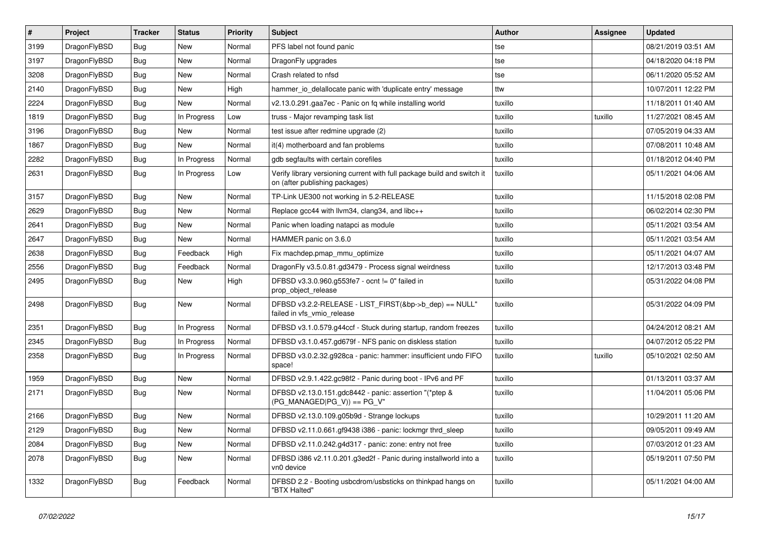| $\sharp$ | Project      | <b>Tracker</b> | <b>Status</b> | <b>Priority</b> | Subject                                                                                                   | <b>Author</b> | Assignee | <b>Updated</b>      |
|----------|--------------|----------------|---------------|-----------------|-----------------------------------------------------------------------------------------------------------|---------------|----------|---------------------|
| 3199     | DragonFlyBSD | Bug            | New           | Normal          | PFS label not found panic                                                                                 | tse           |          | 08/21/2019 03:51 AM |
| 3197     | DragonFlyBSD | <b>Bug</b>     | <b>New</b>    | Normal          | DragonFly upgrades                                                                                        | tse           |          | 04/18/2020 04:18 PM |
| 3208     | DragonFlyBSD | <b>Bug</b>     | <b>New</b>    | Normal          | Crash related to nfsd                                                                                     | tse           |          | 06/11/2020 05:52 AM |
| 2140     | DragonFlyBSD | <b>Bug</b>     | New           | High            | hammer_io_delallocate panic with 'duplicate entry' message                                                | ttw           |          | 10/07/2011 12:22 PM |
| 2224     | DragonFlyBSD | <b>Bug</b>     | <b>New</b>    | Normal          | v2.13.0.291.gaa7ec - Panic on fq while installing world                                                   | tuxillo       |          | 11/18/2011 01:40 AM |
| 1819     | DragonFlyBSD | <b>Bug</b>     | In Progress   | Low             | truss - Major revamping task list                                                                         | tuxillo       | tuxillo  | 11/27/2021 08:45 AM |
| 3196     | DragonFlyBSD | <b>Bug</b>     | New           | Normal          | test issue after redmine upgrade (2)                                                                      | tuxillo       |          | 07/05/2019 04:33 AM |
| 1867     | DragonFlyBSD | <b>Bug</b>     | New           | Normal          | it(4) motherboard and fan problems                                                                        | tuxillo       |          | 07/08/2011 10:48 AM |
| 2282     | DragonFlyBSD | <b>Bug</b>     | In Progress   | Normal          | gdb segfaults with certain corefiles                                                                      | tuxillo       |          | 01/18/2012 04:40 PM |
| 2631     | DragonFlyBSD | <b>Bug</b>     | In Progress   | Low             | Verify library versioning current with full package build and switch it<br>on (after publishing packages) | tuxillo       |          | 05/11/2021 04:06 AM |
| 3157     | DragonFlyBSD | <b>Bug</b>     | New           | Normal          | TP-Link UE300 not working in 5.2-RELEASE                                                                  | tuxillo       |          | 11/15/2018 02:08 PM |
| 2629     | DragonFlyBSD | <b>Bug</b>     | <b>New</b>    | Normal          | Replace gcc44 with llvm34, clang34, and libc++                                                            | tuxillo       |          | 06/02/2014 02:30 PM |
| 2641     | DragonFlyBSD | <b>Bug</b>     | New           | Normal          | Panic when loading natapci as module                                                                      | tuxillo       |          | 05/11/2021 03:54 AM |
| 2647     | DragonFlyBSD | <b>Bug</b>     | New           | Normal          | HAMMER panic on 3.6.0                                                                                     | tuxillo       |          | 05/11/2021 03:54 AM |
| 2638     | DragonFlyBSD | <b>Bug</b>     | Feedback      | High            | Fix machdep.pmap mmu optimize                                                                             | tuxillo       |          | 05/11/2021 04:07 AM |
| 2556     | DragonFlyBSD | <b>Bug</b>     | Feedback      | Normal          | DragonFly v3.5.0.81.gd3479 - Process signal weirdness                                                     | tuxillo       |          | 12/17/2013 03:48 PM |
| 2495     | DragonFlyBSD | <b>Bug</b>     | New           | High            | DFBSD v3.3.0.960.g553fe7 - ocnt != 0" failed in<br>prop_object_release                                    | tuxillo       |          | 05/31/2022 04:08 PM |
| 2498     | DragonFlyBSD | Bug            | <b>New</b>    | Normal          | DFBSD v3.2.2-RELEASE - LIST_FIRST(&bp->b_dep) == NULL"<br>failed in vfs_vmio_release                      | tuxillo       |          | 05/31/2022 04:09 PM |
| 2351     | DragonFlyBSD | <b>Bug</b>     | In Progress   | Normal          | DFBSD v3.1.0.579.g44ccf - Stuck during startup, random freezes                                            | tuxillo       |          | 04/24/2012 08:21 AM |
| 2345     | DragonFlyBSD | <b>Bug</b>     | In Progress   | Normal          | DFBSD v3.1.0.457.gd679f - NFS panic on diskless station                                                   | tuxillo       |          | 04/07/2012 05:22 PM |
| 2358     | DragonFlyBSD | <b>Bug</b>     | In Progress   | Normal          | DFBSD v3.0.2.32.g928ca - panic: hammer: insufficient undo FIFO<br>space!                                  | tuxillo       | tuxillo  | 05/10/2021 02:50 AM |
| 1959     | DragonFlyBSD | <b>Bug</b>     | New           | Normal          | DFBSD v2.9.1.422.gc98f2 - Panic during boot - IPv6 and PF                                                 | tuxillo       |          | 01/13/2011 03:37 AM |
| 2171     | DragonFlyBSD | <b>Bug</b>     | New           | Normal          | DFBSD v2.13.0.151.gdc8442 - panic: assertion "(*ptep &<br>$(PG MANAGED PG V)) == PG V"$                   | tuxillo       |          | 11/04/2011 05:06 PM |
| 2166     | DragonFlyBSD | <b>Bug</b>     | New           | Normal          | DFBSD v2.13.0.109.g05b9d - Strange lockups                                                                | tuxillo       |          | 10/29/2011 11:20 AM |
| 2129     | DragonFlyBSD | <b>Bug</b>     | <b>New</b>    | Normal          | DFBSD v2.11.0.661.gf9438 i386 - panic: lockmgr thrd_sleep                                                 | tuxillo       |          | 09/05/2011 09:49 AM |
| 2084     | DragonFlyBSD | <b>Bug</b>     | <b>New</b>    | Normal          | DFBSD v2.11.0.242.g4d317 - panic: zone: entry not free                                                    | tuxillo       |          | 07/03/2012 01:23 AM |
| 2078     | DragonFlyBSD | <b>Bug</b>     | New           | Normal          | DFBSD i386 v2.11.0.201.g3ed2f - Panic during installworld into a<br>vn0 device                            | tuxillo       |          | 05/19/2011 07:50 PM |
| 1332     | DragonFlyBSD | <b>Bug</b>     | Feedback      | Normal          | DFBSD 2.2 - Booting usbcdrom/usbsticks on thinkpad hangs on<br>"BTX Halted"                               | tuxillo       |          | 05/11/2021 04:00 AM |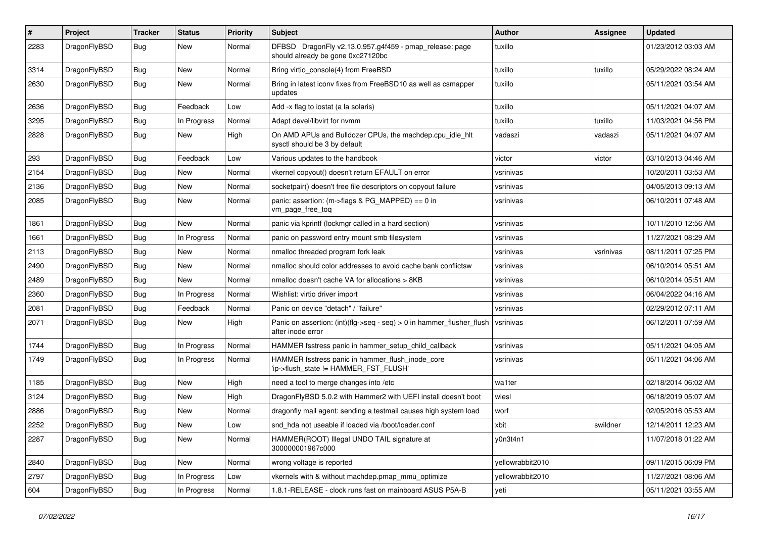| $\#$ | Project      | <b>Tracker</b> | <b>Status</b> | <b>Priority</b> | Subject                                                                                      | <b>Author</b>    | Assignee  | <b>Updated</b>      |
|------|--------------|----------------|---------------|-----------------|----------------------------------------------------------------------------------------------|------------------|-----------|---------------------|
| 2283 | DragonFlyBSD | Bug            | New           | Normal          | DFBSD DragonFly v2.13.0.957.g4f459 - pmap_release: page<br>should already be gone 0xc27120bc | tuxillo          |           | 01/23/2012 03:03 AM |
| 3314 | DragonFlyBSD | <b>Bug</b>     | <b>New</b>    | Normal          | Bring virtio_console(4) from FreeBSD                                                         | tuxillo          | tuxillo   | 05/29/2022 08:24 AM |
| 2630 | DragonFlyBSD | <b>Bug</b>     | <b>New</b>    | Normal          | Bring in latest iconv fixes from FreeBSD10 as well as csmapper<br>updates                    | tuxillo          |           | 05/11/2021 03:54 AM |
| 2636 | DragonFlyBSD | <b>Bug</b>     | Feedback      | Low             | Add -x flag to iostat (a la solaris)                                                         | tuxillo          |           | 05/11/2021 04:07 AM |
| 3295 | DragonFlyBSD | <b>Bug</b>     | In Progress   | Normal          | Adapt devel/libvirt for nvmm                                                                 | tuxillo          | tuxillo   | 11/03/2021 04:56 PM |
| 2828 | DragonFlyBSD | Bug            | New           | High            | On AMD APUs and Bulldozer CPUs, the machdep.cpu_idle_hlt<br>sysctl should be 3 by default    | vadaszi          | vadaszi   | 05/11/2021 04:07 AM |
| 293  | DragonFlyBSD | <b>Bug</b>     | Feedback      | Low             | Various updates to the handbook                                                              | victor           | victor    | 03/10/2013 04:46 AM |
| 2154 | DragonFlyBSD | <b>Bug</b>     | <b>New</b>    | Normal          | vkernel copyout() doesn't return EFAULT on error                                             | vsrinivas        |           | 10/20/2011 03:53 AM |
| 2136 | DragonFlyBSD | <b>Bug</b>     | New           | Normal          | socketpair() doesn't free file descriptors on copyout failure                                | vsrinivas        |           | 04/05/2013 09:13 AM |
| 2085 | DragonFlyBSD | <b>Bug</b>     | <b>New</b>    | Normal          | panic: assertion: (m->flags & PG_MAPPED) == 0 in<br>vm_page_free_toq                         | vsrinivas        |           | 06/10/2011 07:48 AM |
| 1861 | DragonFlyBSD | <b>Bug</b>     | <b>New</b>    | Normal          | panic via kprintf (lockmgr called in a hard section)                                         | vsrinivas        |           | 10/11/2010 12:56 AM |
| 1661 | DragonFlyBSD | Bug            | In Progress   | Normal          | panic on password entry mount smb filesystem                                                 | vsrinivas        |           | 11/27/2021 08:29 AM |
| 2113 | DragonFlyBSD | <b>Bug</b>     | <b>New</b>    | Normal          | nmalloc threaded program fork leak                                                           | vsrinivas        | vsrinivas | 08/11/2011 07:25 PM |
| 2490 | DragonFlyBSD | <b>Bug</b>     | <b>New</b>    | Normal          | nmalloc should color addresses to avoid cache bank conflictsw                                | vsrinivas        |           | 06/10/2014 05:51 AM |
| 2489 | DragonFlyBSD | <b>Bug</b>     | <b>New</b>    | Normal          | nmalloc doesn't cache VA for allocations > 8KB                                               | vsrinivas        |           | 06/10/2014 05:51 AM |
| 2360 | DragonFlyBSD | <b>Bug</b>     | In Progress   | Normal          | Wishlist: virtio driver import                                                               | vsrinivas        |           | 06/04/2022 04:16 AM |
| 2081 | DragonFlyBSD | <b>Bug</b>     | Feedback      | Normal          | Panic on device "detach" / "failure"                                                         | vsrinivas        |           | 02/29/2012 07:11 AM |
| 2071 | DragonFlyBSD | <b>Bug</b>     | <b>New</b>    | High            | Panic on assertion: (int)(flg->seq - seq) > 0 in hammer_flusher_flush<br>after inode error   | vsrinivas        |           | 06/12/2011 07:59 AM |
| 1744 | DragonFlyBSD | <b>Bug</b>     | In Progress   | Normal          | HAMMER fsstress panic in hammer setup child callback                                         | vsrinivas        |           | 05/11/2021 04:05 AM |
| 1749 | DragonFlyBSD | <b>Bug</b>     | In Progress   | Normal          | HAMMER fsstress panic in hammer_flush_inode_core<br>'ip->flush_state != HAMMER_FST_FLUSH'    | vsrinivas        |           | 05/11/2021 04:06 AM |
| 1185 | DragonFlyBSD | Bug            | <b>New</b>    | High            | need a tool to merge changes into /etc                                                       | wa1ter           |           | 02/18/2014 06:02 AM |
| 3124 | DragonFlyBSD | <b>Bug</b>     | New           | High            | DragonFlyBSD 5.0.2 with Hammer2 with UEFI install doesn't boot                               | wiesl            |           | 06/18/2019 05:07 AM |
| 2886 | DragonFlyBSD | <b>Bug</b>     | <b>New</b>    | Normal          | dragonfly mail agent: sending a testmail causes high system load                             | worf             |           | 02/05/2016 05:53 AM |
| 2252 | DragonFlyBSD | Bug            | <b>New</b>    | Low             | snd hda not useable if loaded via /boot/loader.conf                                          | xbit             | swildner  | 12/14/2011 12:23 AM |
| 2287 | DragonFlyBSD | <b>Bug</b>     | New           | Normal          | HAMMER(ROOT) Illegal UNDO TAIL signature at<br>300000001967c000                              | y0n3t4n1         |           | 11/07/2018 01:22 AM |
| 2840 | DragonFlyBSD | Bug            | New           | Normal          | wrong voltage is reported                                                                    | yellowrabbit2010 |           | 09/11/2015 06:09 PM |
| 2797 | DragonFlyBSD | Bug            | In Progress   | Low             | vkernels with & without machdep.pmap_mmu_optimize                                            | yellowrabbit2010 |           | 11/27/2021 08:06 AM |
| 604  | DragonFlyBSD | Bug            | In Progress   | Normal          | 1.8.1-RELEASE - clock runs fast on mainboard ASUS P5A-B                                      | yeti             |           | 05/11/2021 03:55 AM |